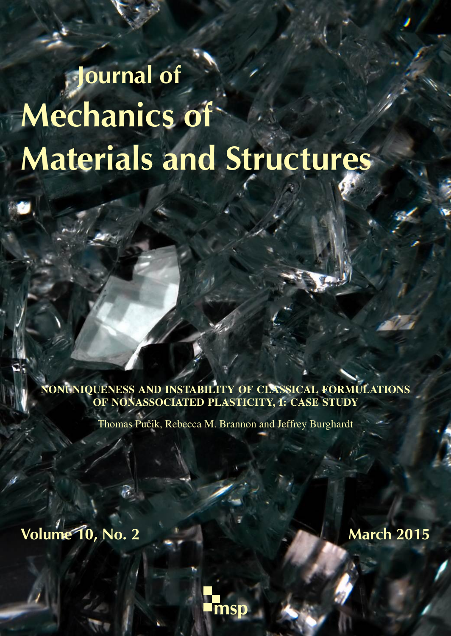# Journal of Mechanics of Materials and Structures

NONUNIQUENESS AND INSTABILITY OF CLASSICAL FORMULATIONS OF NONASSOCIATED PLASTICITY, I: CASE STUDY

Thomas Pučik, Rebecca M. Brannon and Jeffrey Burghardt

Volume 10, No. 2 March 2015

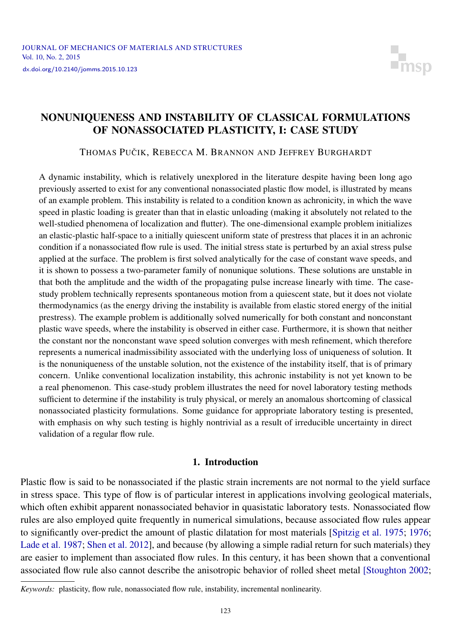

### <span id="page-1-0"></span>NONUNIQUENESS AND INSTABILITY OF CLASSICAL FORMULATIONS OF NONASSOCIATED PLASTICITY, I: CASE STUDY

THOMAS PUČIK, REBECCA M. BRANNON AND JEFFREY BURGHARDT

A dynamic instability, which is relatively unexplored in the literature despite having been long ago previously asserted to exist for any conventional nonassociated plastic flow model, is illustrated by means of an example problem. This instability is related to a condition known as achronicity, in which the wave speed in plastic loading is greater than that in elastic unloading (making it absolutely not related to the well-studied phenomena of localization and flutter). The one-dimensional example problem initializes an elastic-plastic half-space to a initially quiescent uniform state of prestress that places it in an achronic condition if a nonassociated flow rule is used. The initial stress state is perturbed by an axial stress pulse applied at the surface. The problem is first solved analytically for the case of constant wave speeds, and it is shown to possess a two-parameter family of nonunique solutions. These solutions are unstable in that both the amplitude and the width of the propagating pulse increase linearly with time. The casestudy problem technically represents spontaneous motion from a quiescent state, but it does not violate thermodynamics (as the energy driving the instability is available from elastic stored energy of the initial prestress). The example problem is additionally solved numerically for both constant and nonconstant plastic wave speeds, where the instability is observed in either case. Furthermore, it is shown that neither the constant nor the nonconstant wave speed solution converges with mesh refinement, which therefore represents a numerical inadmissibility associated with the underlying loss of uniqueness of solution. It is the nonuniqueness of the unstable solution, not the existence of the instability itself, that is of primary concern. Unlike conventional localization instability, this achronic instability is not yet known to be a real phenomenon. This case-study problem illustrates the need for novel laboratory testing methods sufficient to determine if the instability is truly physical, or merely an anomalous shortcoming of classical nonassociated plasticity formulations. Some guidance for appropriate laboratory testing is presented, with emphasis on why such testing is highly nontrivial as a result of irreducible uncertainty in direct validation of a regular flow rule.

#### 1. Introduction

Plastic flow is said to be nonassociated if the plastic strain increments are not normal to the yield surface in stress space. This type of flow is of particular interest in applications involving geological materials, which often exhibit apparent nonassociated behavior in quasistatic laboratory tests. Nonassociated flow rules are also employed quite frequently in numerical simulations, because associated flow rules appear to significantly over-predict the amount of plastic dilatation for most materials [\[Spitzig et al. 1975;](#page-26-0) [1976;](#page-26-1) [Lade et al. 1987;](#page-26-2) [Shen et al. 2012\]](#page-26-3), and because (by allowing a simple radial return for such materials) they are easier to implement than associated flow rules. In this century, it has been shown that a conventional associated flow rule also cannot describe the anisotropic behavior of rolled sheet metal [\[Stoughton 2002;](#page-26-4)

*Keywords:* plasticity, flow rule, nonassociated flow rule, instability, incremental nonlinearity.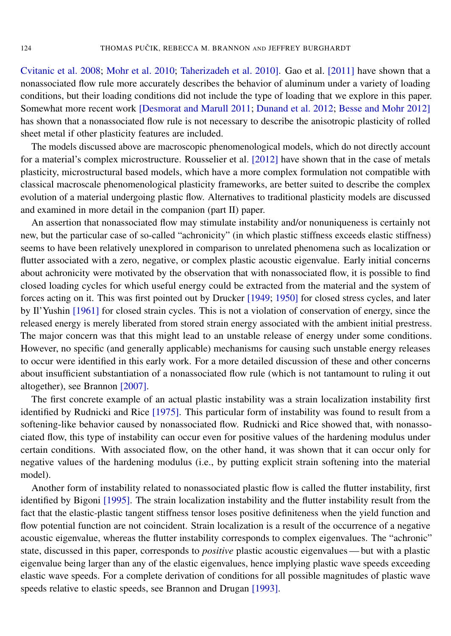[Cvitanic et al. 2008;](#page-25-0) [Mohr et al. 2010;](#page-26-5) [Taherizadeh et al. 2010\]](#page-26-6). [Gao et al.](#page-25-1) [2011] have shown that a nonassociated flow rule more accurately describes the behavior of aluminum under a variety of loading conditions, but their loading conditions did not include the type of loading that we explore in this paper. Somewhat more recent work [\[Desmorat and Marull 2011;](#page-25-2) [Dunand et al. 2012;](#page-25-3) [Besse and Mohr 2012\]](#page-25-4) has shown that a nonassociated flow rule is not necessary to describe the anisotropic plasticity of rolled sheet metal if other plasticity features are included.

The models discussed above are macroscopic phenomenological models, which do not directly account for a material's complex microstructure. [Rousselier et al.](#page-26-7) [2012] have shown that in the case of metals plasticity, microstructural based models, which have a more complex formulation not compatible with classical macroscale phenomenological plasticity frameworks, are better suited to describe the complex evolution of a material undergoing plastic flow. Alternatives to traditional plasticity models are discussed and examined in more detail in the companion (part II) paper.

An assertion that nonassociated flow may stimulate instability and/or nonuniqueness is certainly not new, but the particular case of so-called "achronicity" (in which plastic stiffness exceeds elastic stiffness) seems to have been relatively unexplored in comparison to unrelated phenomena such as localization or flutter associated with a zero, negative, or complex plastic acoustic eigenvalue. Early initial concerns about achronicity were motivated by the observation that with nonassociated flow, it is possible to find closed loading cycles for which useful energy could be extracted from the material and the system of forces acting on it. This was first pointed out by Drucker [\[1949;](#page-25-5) [1950\]](#page-25-6) for closed stress cycles, and later by [Il'Yushin](#page-25-7) [1961] for closed strain cycles. This is not a violation of conservation of energy, since the released energy is merely liberated from stored strain energy associated with the ambient initial prestress. The major concern was that this might lead to an unstable release of energy under some conditions. However, no specific (and generally applicable) mechanisms for causing such unstable energy releases to occur were identified in this early work. For a more detailed discussion of these and other concerns about insufficient substantiation of a nonassociated flow rule (which is not tantamount to ruling it out altogether), see [Brannon](#page-25-8) [2007].

The first concrete example of an actual plastic instability was a strain localization instability first identified by [Rudnicki and Rice](#page-26-8) [1975]. This particular form of instability was found to result from a softening-like behavior caused by nonassociated flow. Rudnicki and Rice showed that, with nonassociated flow, this type of instability can occur even for positive values of the hardening modulus under certain conditions. With associated flow, on the other hand, it was shown that it can occur only for negative values of the hardening modulus (i.e., by putting explicit strain softening into the material model).

Another form of instability related to nonassociated plastic flow is called the flutter instability, first identified by [Bigoni](#page-25-9) [1995]. The strain localization instability and the flutter instability result from the fact that the elastic-plastic tangent stiffness tensor loses positive definiteness when the yield function and flow potential function are not coincident. Strain localization is a result of the occurrence of a negative acoustic eigenvalue, whereas the flutter instability corresponds to complex eigenvalues. The "achronic" state, discussed in this paper, corresponds to *positive* plastic acoustic eigenvalues— but with a plastic eigenvalue being larger than any of the elastic eigenvalues, hence implying plastic wave speeds exceeding elastic wave speeds. For a complete derivation of conditions for all possible magnitudes of plastic wave speeds relative to elastic speeds, see [Brannon and Drugan](#page-25-10) [1993].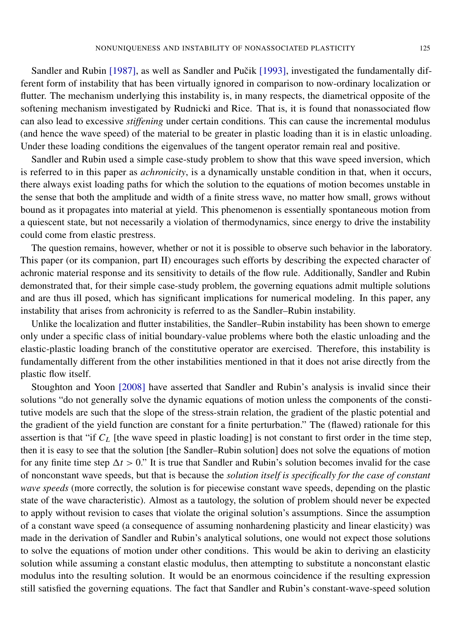[Sandler and Rubin](#page-26-9) [1987], as well as Sandler and Pučik [1993], investigated the fundamentally different form of instability that has been virtually ignored in comparison to now-ordinary localization or flutter. The mechanism underlying this instability is, in many respects, the diametrical opposite of the softening mechanism investigated by Rudnicki and Rice. That is, it is found that nonassociated flow can also lead to excessive *stiffening* under certain conditions. This can cause the incremental modulus (and hence the wave speed) of the material to be greater in plastic loading than it is in elastic unloading. Under these loading conditions the eigenvalues of the tangent operator remain real and positive.

Sandler and Rubin used a simple case-study problem to show that this wave speed inversion, which is referred to in this paper as *achronicity*, is a dynamically unstable condition in that, when it occurs, there always exist loading paths for which the solution to the equations of motion becomes unstable in the sense that both the amplitude and width of a finite stress wave, no matter how small, grows without bound as it propagates into material at yield. This phenomenon is essentially spontaneous motion from a quiescent state, but not necessarily a violation of thermodynamics, since energy to drive the instability could come from elastic prestress.

The question remains, however, whether or not it is possible to observe such behavior in the laboratory. This paper (or its companion, part II) encourages such efforts by describing the expected character of achronic material response and its sensitivity to details of the flow rule. Additionally, Sandler and Rubin demonstrated that, for their simple case-study problem, the governing equations admit multiple solutions and are thus ill posed, which has significant implications for numerical modeling. In this paper, any instability that arises from achronicity is referred to as the Sandler–Rubin instability.

Unlike the localization and flutter instabilities, the Sandler–Rubin instability has been shown to emerge only under a specific class of initial boundary-value problems where both the elastic unloading and the elastic-plastic loading branch of the constitutive operator are exercised. Therefore, this instability is fundamentally different from the other instabilities mentioned in that it does not arise directly from the plastic flow itself.

[Stoughton and Yoon](#page-26-11) [2008] have asserted that Sandler and Rubin's analysis is invalid since their solutions "do not generally solve the dynamic equations of motion unless the components of the constitutive models are such that the slope of the stress-strain relation, the gradient of the plastic potential and the gradient of the yield function are constant for a finite perturbation." The (flawed) rationale for this assertion is that "if *C<sup>L</sup>* [the wave speed in plastic loading] is not constant to first order in the time step, then it is easy to see that the solution [the Sandler–Rubin solution] does not solve the equations of motion for any finite time step  $\Delta t > 0$ ." It is true that Sandler and Rubin's solution becomes invalid for the case of nonconstant wave speeds, but that is because the *solution itself is specifically for the case of constant wave speeds* (more correctly, the solution is for piecewise constant wave speeds, depending on the plastic state of the wave characteristic). Almost as a tautology, the solution of problem should never be expected to apply without revision to cases that violate the original solution's assumptions. Since the assumption of a constant wave speed (a consequence of assuming nonhardening plasticity and linear elasticity) was made in the derivation of Sandler and Rubin's analytical solutions, one would not expect those solutions to solve the equations of motion under other conditions. This would be akin to deriving an elasticity solution while assuming a constant elastic modulus, then attempting to substitute a nonconstant elastic modulus into the resulting solution. It would be an enormous coincidence if the resulting expression still satisfied the governing equations. The fact that Sandler and Rubin's constant-wave-speed solution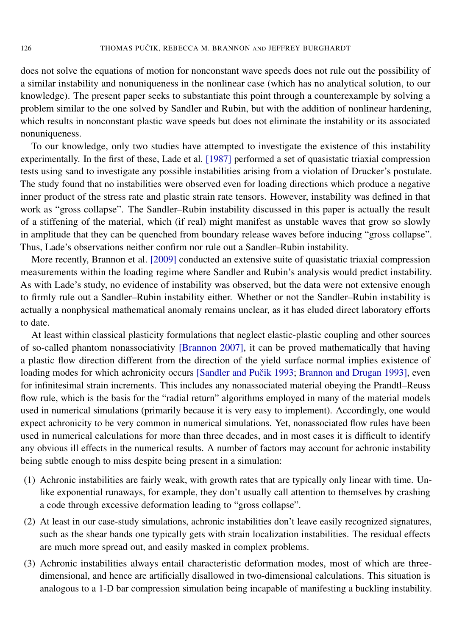does not solve the equations of motion for nonconstant wave speeds does not rule out the possibility of a similar instability and nonuniqueness in the nonlinear case (which has no analytical solution, to our knowledge). The present paper seeks to substantiate this point through a counterexample by solving a problem similar to the one solved by Sandler and Rubin, but with the addition of nonlinear hardening, which results in nonconstant plastic wave speeds but does not eliminate the instability or its associated nonuniqueness.

To our knowledge, only two studies have attempted to investigate the existence of this instability experimentally. In the first of these, [Lade et al.](#page-26-2) [1987] performed a set of quasistatic triaxial compression tests using sand to investigate any possible instabilities arising from a violation of Drucker's postulate. The study found that no instabilities were observed even for loading directions which produce a negative inner product of the stress rate and plastic strain rate tensors. However, instability was defined in that work as "gross collapse". The Sandler–Rubin instability discussed in this paper is actually the result of a stiffening of the material, which (if real) might manifest as unstable waves that grow so slowly in amplitude that they can be quenched from boundary release waves before inducing "gross collapse". Thus, Lade's observations neither confirm nor rule out a Sandler–Rubin instability.

More recently, [Brannon et al.](#page-25-11) [2009] conducted an extensive suite of quasistatic triaxial compression measurements within the loading regime where Sandler and Rubin's analysis would predict instability. As with Lade's study, no evidence of instability was observed, but the data were not extensive enough to firmly rule out a Sandler–Rubin instability either. Whether or not the Sandler–Rubin instability is actually a nonphysical mathematical anomaly remains unclear, as it has eluded direct laboratory efforts to date.

At least within classical plasticity formulations that neglect elastic-plastic coupling and other sources of so-called phantom nonassociativity [\[Brannon 2007\]](#page-25-8), it can be proved mathematically that having a plastic flow direction different from the direction of the yield surface normal implies existence of loading modes for which achronicity occurs [Sandler and Pučik 1993; [Brannon and Drugan 1993\]](#page-25-10), even for infinitesimal strain increments. This includes any nonassociated material obeying the Prandtl–Reuss flow rule, which is the basis for the "radial return" algorithms employed in many of the material models used in numerical simulations (primarily because it is very easy to implement). Accordingly, one would expect achronicity to be very common in numerical simulations. Yet, nonassociated flow rules have been used in numerical calculations for more than three decades, and in most cases it is difficult to identify any obvious ill effects in the numerical results. A number of factors may account for achronic instability being subtle enough to miss despite being present in a simulation:

- (1) Achronic instabilities are fairly weak, with growth rates that are typically only linear with time. Unlike exponential runaways, for example, they don't usually call attention to themselves by crashing a code through excessive deformation leading to "gross collapse".
- (2) At least in our case-study simulations, achronic instabilities don't leave easily recognized signatures, such as the shear bands one typically gets with strain localization instabilities. The residual effects are much more spread out, and easily masked in complex problems.
- (3) Achronic instabilities always entail characteristic deformation modes, most of which are threedimensional, and hence are artificially disallowed in two-dimensional calculations. This situation is analogous to a 1-D bar compression simulation being incapable of manifesting a buckling instability.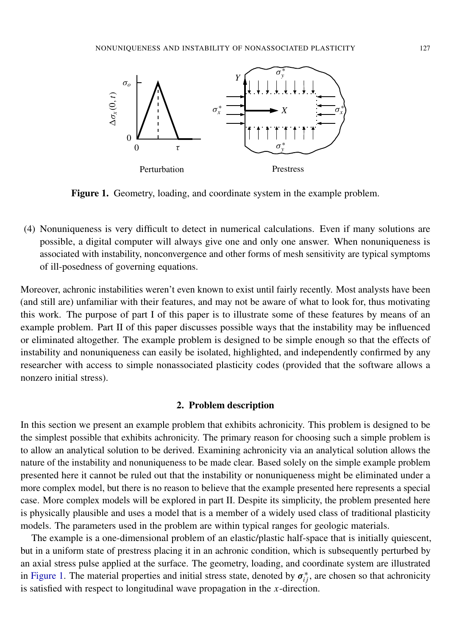<span id="page-5-0"></span>

Figure 1. Geometry, loading, and coordinate system in the example problem.

(4) Nonuniqueness is very difficult to detect in numerical calculations. Even if many solutions are possible, a digital computer will always give one and only one answer. When nonuniqueness is associated with instability, nonconvergence and other forms of mesh sensitivity are typical symptoms of ill-posedness of governing equations.

Moreover, achronic instabilities weren't even known to exist until fairly recently. Most analysts have been (and still are) unfamiliar with their features, and may not be aware of what to look for, thus motivating this work. The purpose of part I of this paper is to illustrate some of these features by means of an example problem. Part II of this paper discusses possible ways that the instability may be influenced or eliminated altogether. The example problem is designed to be simple enough so that the effects of instability and nonuniqueness can easily be isolated, highlighted, and independently confirmed by any researcher with access to simple nonassociated plasticity codes (provided that the software allows a nonzero initial stress).

#### 2. Problem description

<span id="page-5-1"></span>In this section we present an example problem that exhibits achronicity. This problem is designed to be the simplest possible that exhibits achronicity. The primary reason for choosing such a simple problem is to allow an analytical solution to be derived. Examining achronicity via an analytical solution allows the nature of the instability and nonuniqueness to be made clear. Based solely on the simple example problem presented here it cannot be ruled out that the instability or nonuniqueness might be eliminated under a more complex model, but there is no reason to believe that the example presented here represents a special case. More complex models will be explored in part II. Despite its simplicity, the problem presented here is physically plausible and uses a model that is a member of a widely used class of traditional plasticity models. The parameters used in the problem are within typical ranges for geologic materials.

The example is a one-dimensional problem of an elastic/plastic half-space that is initially quiescent, but in a uniform state of prestress placing it in an achronic condition, which is subsequently perturbed by an axial stress pulse applied at the surface. The geometry, loading, and coordinate system are illustrated in [Figure 1.](#page-5-0) The material properties and initial stress state, denoted by  $\sigma_{ij}^*$ , are chosen so that achronicity is satisfied with respect to longitudinal wave propagation in the *x*-direction.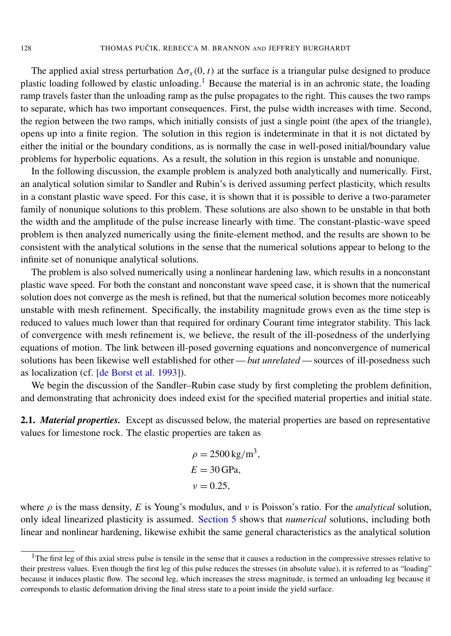The applied axial stress perturbation  $\Delta \sigma_x(0, t)$  at the surface is a triangular pulse designed to produce plastic loading followed by elastic unloading.<sup>[1](#page-6-0)</sup> Because the material is in an achronic state, the loading ramp travels faster than the unloading ramp as the pulse propagates to the right. This causes the two ramps to separate, which has two important consequences. First, the pulse width increases with time. Second, the region between the two ramps, which initially consists of just a single point (the apex of the triangle), opens up into a finite region. The solution in this region is indeterminate in that it is not dictated by either the initial or the boundary conditions, as is normally the case in well-posed initial/boundary value problems for hyperbolic equations. As a result, the solution in this region is unstable and nonunique.

In the following discussion, the example problem is analyzed both analytically and numerically. First, an analytical solution similar to Sandler and Rubin's is derived assuming perfect plasticity, which results in a constant plastic wave speed. For this case, it is shown that it is possible to derive a two-parameter family of nonunique solutions to this problem. These solutions are also shown to be unstable in that both the width and the amplitude of the pulse increase linearly with time. The constant-plastic-wave speed problem is then analyzed numerically using the finite-element method, and the results are shown to be consistent with the analytical solutions in the sense that the numerical solutions appear to belong to the infinite set of nonunique analytical solutions.

The problem is also solved numerically using a nonlinear hardening law, which results in a nonconstant plastic wave speed. For both the constant and nonconstant wave speed case, it is shown that the numerical solution does not converge as the mesh is refined, but that the numerical solution becomes more noticeably unstable with mesh refinement. Specifically, the instability magnitude grows even as the time step is reduced to values much lower than that required for ordinary Courant time integrator stability. This lack of convergence with mesh refinement is, we believe, the result of the ill-posedness of the underlying equations of motion. The link between ill-posed governing equations and nonconvergence of numerical solutions has been likewise well established for other—*but unrelated* — sources of ill-posedness such as localization (cf. [\[de Borst et al. 1993\]](#page-25-12)).

We begin the discussion of the Sandler–Rubin case study by first completing the problem definition, and demonstrating that achronicity does indeed exist for the specified material properties and initial state.

2.1. *Material properties.* Except as discussed below, the material properties are based on representative values for limestone rock. The elastic properties are taken as

> $\rho = 2500 \,\mathrm{kg/m^3}$ ,  $E = 30$  GPa  $\nu = 0.25$ .

where  $\rho$  is the mass density, *E* is Young's modulus, and  $\nu$  is Poisson's ratio. For the *analytical* solution, only ideal linearized plasticity is assumed. [Section 5](#page-18-0) shows that *numerical* solutions, including both linear and nonlinear hardening, likewise exhibit the same general characteristics as the analytical solution

<span id="page-6-0"></span> $<sup>1</sup>$ The first leg of this axial stress pulse is tensile in the sense that it causes a reduction in the compressive stresses relative to</sup> their prestress values. Even though the first leg of this pulse reduces the stresses (in absolute value), it is referred to as "loading" because it induces plastic flow. The second leg, which increases the stress magnitude, is termed an unloading leg because it corresponds to elastic deformation driving the final stress state to a point inside the yield surface.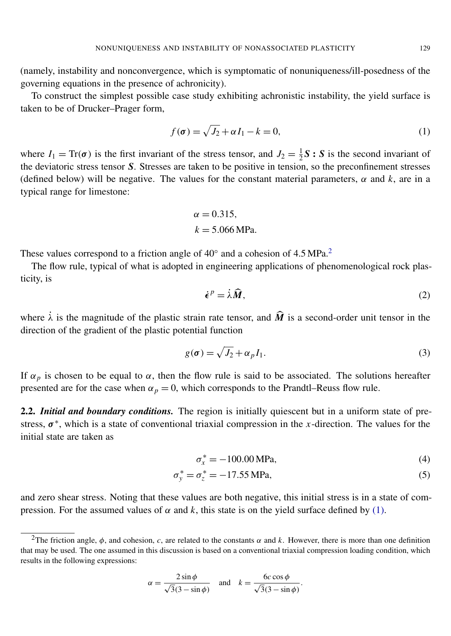(namely, instability and nonconvergence, which is symptomatic of nonuniqueness/ill-posedness of the governing equations in the presence of achronicity).

To construct the simplest possible case study exhibiting achronistic instability, the yield surface is taken to be of Drucker–Prager form,

<span id="page-7-1"></span>
$$
f(\sigma) = \sqrt{J_2} + \alpha I_1 - k = 0,\tag{1}
$$

where  $I_1 = \text{Tr}(\sigma)$  is the first invariant of the stress tensor, and  $J_2 = \frac{1}{2}$  $\frac{1}{2}$ **S** : **S** is the second invariant of the deviatoric stress tensor *S*. Stresses are taken to be positive in tension, so the preconfinement stresses (defined below) will be negative. The values for the constant material parameters,  $\alpha$  and  $k$ , are in a typical range for limestone:

$$
\alpha = 0.315,
$$
  

$$
k = 5.066 \text{ MPa}.
$$

These values correspond to a friction angle of  $40^\circ$  and a cohesion of  $4.5 \text{ MPa}$ .<sup>[2](#page-7-0)</sup>

The flow rule, typical of what is adopted in engineering applications of phenomenological rock plasticity, is

$$
\dot{\epsilon}^p = \dot{\lambda}\widehat{M},\tag{2}
$$

where  $\dot{\lambda}$  is the magnitude of the plastic strain rate tensor, and  $\hat{M}$  is a second-order unit tensor in the direction of the gradient of the plastic potential function

$$
g(\sigma) = \sqrt{J_2} + \alpha_p I_1. \tag{3}
$$

If  $\alpha_p$  is chosen to be equal to  $\alpha$ , then the flow rule is said to be associated. The solutions hereafter presented are for the case when  $\alpha_p = 0$ , which corresponds to the Prandtl–Reuss flow rule.

2.2. *Initial and boundary conditions.* The region is initially quiescent but in a uniform state of prestress,  $\sigma^*$ , which is a state of conventional triaxial compression in the *x*-direction. The values for the initial state are taken as

<span id="page-7-2"></span>
$$
\sigma_x^* = -100.00 \text{ MPa},\tag{4}
$$

$$
\sigma_y^* = \sigma_z^* = -17.55 \text{ MPa},\tag{5}
$$

and zero shear stress. Noting that these values are both negative, this initial stress is in a state of compression. For the assumed values of  $\alpha$  and k, this state is on the yield surface defined by [\(1\).](#page-7-1)

$$
\alpha = \frac{2\sin\phi}{\sqrt{3}(3-\sin\phi)} \quad \text{and} \quad k = \frac{6c\cos\phi}{\sqrt{3}(3-\sin\phi)}.
$$

<span id="page-7-0"></span><sup>&</sup>lt;sup>2</sup>The friction angle,  $\phi$ , and cohesion, *c*, are related to the constants  $\alpha$  and *k*. However, there is more than one definition that may be used. The one assumed in this discussion is based on a conventional triaxial compression loading condition, which results in the following expressions: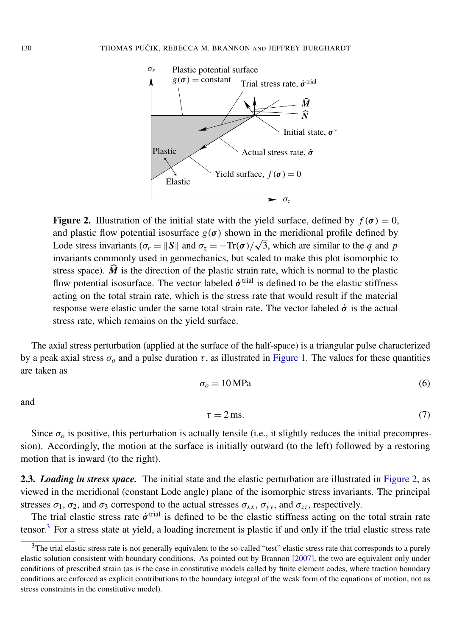<span id="page-8-0"></span>

**Figure 2.** Illustration of the initial state with the yield surface, defined by  $f(\sigma) = 0$ , and plastic flow potential isosurface  $g(\sigma)$  shown in the meridional profile defined by and plastic now potential isosurface  $g(\sigma)$  shown in the meridional profile defined by<br>Lode stress invariants ( $\sigma_r = ||S||$  and  $\sigma_z = -\text{Tr}(\sigma)/\sqrt{3}$ , which are similar to the *q* and *p* invariants commonly used in geomechanics, but scaled to make this plot isomorphic to stress space).  $\hat{M}$  is the direction of the plastic strain rate, which is normal to the plastic flow potential isosurface. The vector labeled  $\dot{\sigma}^{\text{trial}}$  is defined to be the elastic stiffness acting on the total strain rate, which is the stress rate that would result if the material response were elastic under the same total strain rate. The vector labeled  $\dot{\sigma}$  is the actual stress rate, which remains on the yield surface.

<span id="page-8-2"></span>The axial stress perturbation (applied at the surface of the half-space) is a triangular pulse characterized by a peak axial stress  $\sigma$ <sub>o</sub> and a pulse duration  $\tau$ , as illustrated in [Figure 1.](#page-5-0) The values for these quantities are taken as

$$
\sigma_o = 10 \text{ MPa} \tag{6}
$$

<span id="page-8-3"></span>and

$$
\tau = 2 \,\text{ms.} \tag{7}
$$

Since  $\sigma$ <sub>o</sub> is positive, this perturbation is actually tensile (i.e., it slightly reduces the initial precompression). Accordingly, the motion at the surface is initially outward (to the left) followed by a restoring motion that is inward (to the right).

2.3. *Loading in stress space.* The initial state and the elastic perturbation are illustrated in [Figure 2,](#page-8-0) as viewed in the meridional (constant Lode angle) plane of the isomorphic stress invariants. The principal stresses  $\sigma_1$ ,  $\sigma_2$ , and  $\sigma_3$  correspond to the actual stresses  $\sigma_{xx}$ ,  $\sigma_{yy}$ , and  $\sigma_{zz}$ , respectively.

The trial elastic stress rate  $\dot{\sigma}^{\text{trial}}$  is defined to be the elastic stiffness acting on the total strain rate tensor.<sup>[3](#page-8-1)</sup> For a stress state at yield, a loading increment is plastic if and only if the trial elastic stress rate

<span id="page-8-1"></span> $3$ The trial elastic stress rate is not generally equivalent to the so-called "test" elastic stress rate that corresponds to a purely elastic solution consistent with boundary conditions. As pointed out by [Brannon](#page-25-8) [2007], the two are equivalent only under conditions of prescribed strain (as is the case in constitutive models called by finite element codes, where traction boundary conditions are enforced as explicit contributions to the boundary integral of the weak form of the equations of motion, not as stress constraints in the constitutive model).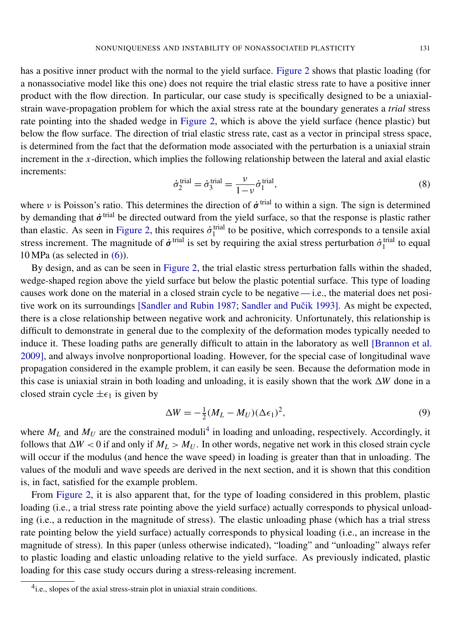has a positive inner product with the normal to the yield surface. [Figure 2](#page-8-0) shows that plastic loading (for a nonassociative model like this one) does not require the trial elastic stress rate to have a positive inner product with the flow direction. In particular, our case study is specifically designed to be a uniaxialstrain wave-propagation problem for which the axial stress rate at the boundary generates a *trial* stress rate pointing into the shaded wedge in [Figure 2,](#page-8-0) which is above the yield surface (hence plastic) but below the flow surface. The direction of trial elastic stress rate, cast as a vector in principal stress space, is determined from the fact that the deformation mode associated with the perturbation is a uniaxial strain increment in the *x*-direction, which implies the following relationship between the lateral and axial elastic increments:

$$
\dot{\sigma}_2^{\text{trial}} = \dot{\sigma}_3^{\text{trial}} = \frac{\nu}{1-\nu} \dot{\sigma}_1^{\text{trial}},\tag{8}
$$

where v is Poisson's ratio. This determines the direction of  $\dot{\sigma}^{\text{trial}}$  to within a sign. The sign is determined by demanding that  $\dot{\sigma}^{\text{trial}}$  be directed outward from the yield surface, so that the response is plastic rather than elastic. As seen in [Figure 2,](#page-8-0) this requires  $\dot{\sigma}_1^{\text{trial}}$  to be positive, which corresponds to a tensile axial stress increment. The magnitude of  $\dot{\sigma}^{\text{trial}}$  is set by requiring the axial stress perturbation  $\dot{\sigma}^{\text{trial}}_1$  to equal 10 MPa (as selected in [\(6\)\)](#page-8-2).

By design, and as can be seen in [Figure 2,](#page-8-0) the trial elastic stress perturbation falls within the shaded, wedge-shaped region above the yield surface but below the plastic potential surface. This type of loading causes work done on the material in a closed strain cycle to be negative — i.e., the material does net posi-tive work on its surroundings [\[Sandler and Rubin 1987;](#page-26-9) Sandler and Pučik 1993]. As might be expected, there is a close relationship between negative work and achronicity. Unfortunately, this relationship is difficult to demonstrate in general due to the complexity of the deformation modes typically needed to induce it. These loading paths are generally difficult to attain in the laboratory as well [\[Brannon et al.](#page-25-11) [2009\]](#page-25-11), and always involve nonproportional loading. However, for the special case of longitudinal wave propagation considered in the example problem, it can easily be seen. Because the deformation mode in this case is uniaxial strain in both loading and unloading, it is easily shown that the work  $\Delta W$  done in a closed strain cycle  $\pm \epsilon_1$  is given by

$$
\Delta W = -\frac{1}{2}(M_L - M_U)(\Delta \epsilon_1)^2,\tag{9}
$$

where  $M_L$  and  $M_U$  are the constrained moduli<sup>[4](#page-9-0)</sup> in loading and unloading, respectively. Accordingly, it follows that  $\Delta W < 0$  if and only if  $M_L > M_U$ . In other words, negative net work in this closed strain cycle will occur if the modulus (and hence the wave speed) in loading is greater than that in unloading. The values of the moduli and wave speeds are derived in the next section, and it is shown that this condition is, in fact, satisfied for the example problem.

From [Figure 2,](#page-8-0) it is also apparent that, for the type of loading considered in this problem, plastic loading (i.e., a trial stress rate pointing above the yield surface) actually corresponds to physical unloading (i.e., a reduction in the magnitude of stress). The elastic unloading phase (which has a trial stress rate pointing below the yield surface) actually corresponds to physical loading (i.e., an increase in the magnitude of stress). In this paper (unless otherwise indicated), "loading" and "unloading" always refer to plastic loading and elastic unloading relative to the yield surface. As previously indicated, plastic loading for this case study occurs during a stress-releasing increment.

<span id="page-9-0"></span><sup>&</sup>lt;sup>4</sup>i.e., slopes of the axial stress-strain plot in uniaxial strain conditions.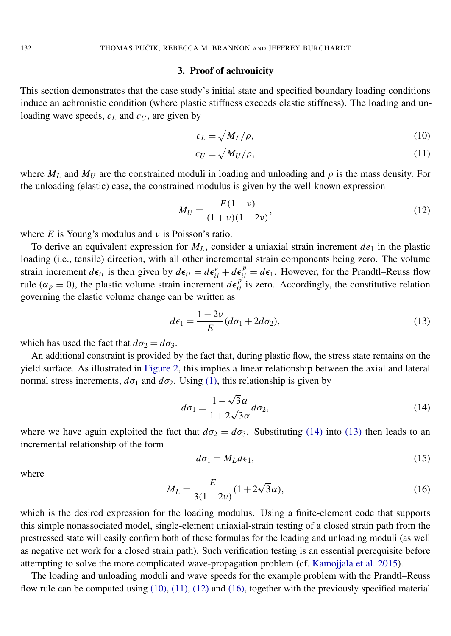#### 3. Proof of achronicity

This section demonstrates that the case study's initial state and specified boundary loading conditions induce an achronistic condition (where plastic stiffness exceeds elastic stiffness). The loading and unloading wave speeds, *c<sup>L</sup>* and *c<sup>U</sup>* , are given by

<span id="page-10-2"></span>
$$
c_L = \sqrt{M_L/\rho},\tag{10}
$$

<span id="page-10-4"></span><span id="page-10-3"></span>
$$
c_U = \sqrt{M_U/\rho},\tag{11}
$$

where  $M_L$  and  $M_U$  are the constrained moduli in loading and unloading and  $\rho$  is the mass density. For the unloading (elastic) case, the constrained modulus is given by the well-known expression

$$
M_U = \frac{E(1 - \nu)}{(1 + \nu)(1 - 2\nu)},
$$
\n(12)

where  $E$  is Young's modulus and  $\nu$  is Poisson's ratio.

To derive an equivalent expression for  $M_L$ , consider a uniaxial strain increment  $de_1$  in the plastic loading (i.e., tensile) direction, with all other incremental strain components being zero. The volume strain increment  $d\epsilon_{ii}$  is then given by  $d\epsilon_{ii} = d\epsilon_{ii}^e + d\epsilon_{ii}^p = d\epsilon_1$ . However, for the Prandtl–Reuss flow rule ( $\alpha_p = 0$ ), the plastic volume strain increment  $d\epsilon_{ii}^{p'}$  is zero. Accordingly, the constitutive relation governing the elastic volume change can be written as

<span id="page-10-1"></span>
$$
d\epsilon_1 = \frac{1 - 2\nu}{E} (d\sigma_1 + 2d\sigma_2),\tag{13}
$$

which has used the fact that  $d\sigma_2 = d\sigma_3$ .

An additional constraint is provided by the fact that, during plastic flow, the stress state remains on the yield surface. As illustrated in [Figure 2,](#page-8-0) this implies a linear relationship between the axial and lateral normal stress increments,  $d\sigma_1$  and  $d\sigma_2$ . Using [\(1\),](#page-7-1) this relationship is given by

<span id="page-10-0"></span>
$$
d\sigma_1 = \frac{1 - \sqrt{3}\alpha}{1 + 2\sqrt{3}\alpha} d\sigma_2, \tag{14}
$$

where we have again exploited the fact that  $d\sigma_2 = d\sigma_3$ . Substituting [\(14\)](#page-10-0) into [\(13\)](#page-10-1) then leads to an incremental relationship of the form

$$
d\sigma_1 = M_L d\epsilon_1,\tag{15}
$$

<span id="page-10-5"></span>where

$$
M_L = \frac{E}{3(1 - 2\nu)} (1 + 2\sqrt{3}\alpha),\tag{16}
$$

which is the desired expression for the loading modulus. Using a finite-element code that supports this simple nonassociated model, single-element uniaxial-strain testing of a closed strain path from the prestressed state will easily confirm both of these formulas for the loading and unloading moduli (as well as negative net work for a closed strain path). Such verification testing is an essential prerequisite before attempting to solve the more complicated wave-propagation problem (cf. [Kamojjala et al. 2015\)](#page-25-13).

The loading and unloading moduli and wave speeds for the example problem with the Prandtl–Reuss flow rule can be computed using [\(10\),](#page-10-2) [\(11\),](#page-10-3) [\(12\)](#page-10-4) and [\(16\),](#page-10-5) together with the previously specified material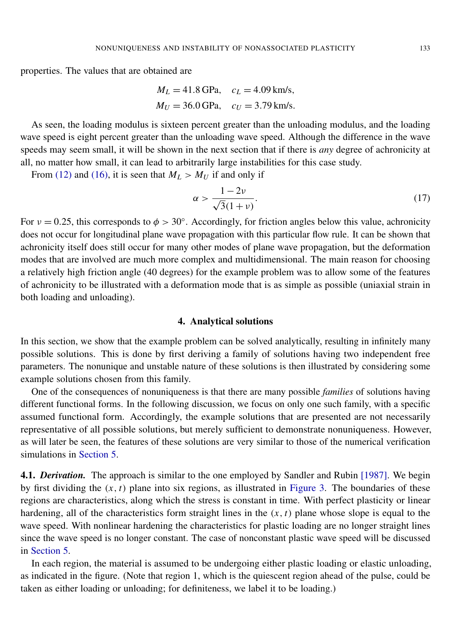properties. The values that are obtained are

$$
M_L = 41.8 \text{ GPa}
$$
,  $c_L = 4.09 \text{ km/s}$ ,  
 $M_U = 36.0 \text{ GPa}$ ,  $c_U = 3.79 \text{ km/s}$ .

As seen, the loading modulus is sixteen percent greater than the unloading modulus, and the loading wave speed is eight percent greater than the unloading wave speed. Although the difference in the wave speeds may seem small, it will be shown in the next section that if there is *any* degree of achronicity at all, no matter how small, it can lead to arbitrarily large instabilities for this case study.

From [\(12\)](#page-10-4) and [\(16\),](#page-10-5) it is seen that  $M_L > M_U$  if and only if

$$
\alpha > \frac{1 - 2\nu}{\sqrt{3}(1 + \nu)}.\tag{17}
$$

For  $v = 0.25$ , this corresponds to  $\phi > 30^\circ$ . Accordingly, for friction angles below this value, achronicity does not occur for longitudinal plane wave propagation with this particular flow rule. It can be shown that achronicity itself does still occur for many other modes of plane wave propagation, but the deformation modes that are involved are much more complex and multidimensional. The main reason for choosing a relatively high friction angle (40 degrees) for the example problem was to allow some of the features of achronicity to be illustrated with a deformation mode that is as simple as possible (uniaxial strain in both loading and unloading).

#### 4. Analytical solutions

<span id="page-11-0"></span>In this section, we show that the example problem can be solved analytically, resulting in infinitely many possible solutions. This is done by first deriving a family of solutions having two independent free parameters. The nonunique and unstable nature of these solutions is then illustrated by considering some example solutions chosen from this family.

One of the consequences of nonuniqueness is that there are many possible *families* of solutions having different functional forms. In the following discussion, we focus on only one such family, with a specific assumed functional form. Accordingly, the example solutions that are presented are not necessarily representative of all possible solutions, but merely sufficient to demonstrate nonuniqueness. However, as will later be seen, the features of these solutions are very similar to those of the numerical verification simulations in [Section 5.](#page-18-0)

4.1. *Derivation.* The approach is similar to the one employed by [Sandler and Rubin](#page-26-9) [1987]. We begin by first dividing the  $(x, t)$  plane into six regions, as illustrated in [Figure 3.](#page-12-0) The boundaries of these regions are characteristics, along which the stress is constant in time. With perfect plasticity or linear hardening, all of the characteristics form straight lines in the  $(x, t)$  plane whose slope is equal to the wave speed. With nonlinear hardening the characteristics for plastic loading are no longer straight lines since the wave speed is no longer constant. The case of nonconstant plastic wave speed will be discussed in [Section 5.](#page-18-0)

In each region, the material is assumed to be undergoing either plastic loading or elastic unloading, as indicated in the figure. (Note that region 1, which is the quiescent region ahead of the pulse, could be taken as either loading or unloading; for definiteness, we label it to be loading.)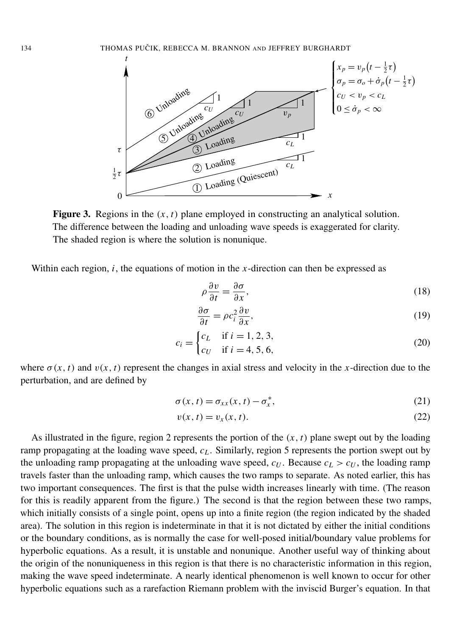<span id="page-12-0"></span>

**Figure 3.** Regions in the  $(x, t)$  plane employed in constructing an analytical solution. The difference between the loading and unloading wave speeds is exaggerated for clarity. The shaded region is where the solution is nonunique.

Within each region, *i*, the equations of motion in the *x*-direction can then be expressed as

<span id="page-12-2"></span><span id="page-12-1"></span>
$$
\rho \frac{\partial v}{\partial t} = \frac{\partial \sigma}{\partial x},\tag{18}
$$

<span id="page-12-3"></span>
$$
\frac{\partial \sigma}{\partial t} = \rho c_i^2 \frac{\partial v}{\partial x},\tag{19}
$$

$$
c_i = \begin{cases} c_L & \text{if } i = 1, 2, 3, \\ c_U & \text{if } i = 4, 5, 6, \end{cases}
$$
 (20)

where  $\sigma(x, t)$  and  $v(x, t)$  represent the changes in axial stress and velocity in the *x*-direction due to the perturbation, and are defined by

$$
\sigma(x,t) = \sigma_{xx}(x,t) - \sigma_x^*,
$$
\n(21)

$$
v(x,t) = v_x(x,t). \tag{22}
$$

As illustrated in the figure, region 2 represents the portion of the  $(x, t)$  plane swept out by the loading ramp propagating at the loading wave speed, *c<sup>L</sup>* . Similarly, region 5 represents the portion swept out by the unloading ramp propagating at the unloading wave speed,  $c_U$ . Because  $c_L > c_U$ , the loading ramp travels faster than the unloading ramp, which causes the two ramps to separate. As noted earlier, this has two important consequences. The first is that the pulse width increases linearly with time. (The reason for this is readily apparent from the figure.) The second is that the region between these two ramps, which initially consists of a single point, opens up into a finite region (the region indicated by the shaded area). The solution in this region is indeterminate in that it is not dictated by either the initial conditions or the boundary conditions, as is normally the case for well-posed initial/boundary value problems for hyperbolic equations. As a result, it is unstable and nonunique. Another useful way of thinking about the origin of the nonuniqueness in this region is that there is no characteristic information in this region, making the wave speed indeterminate. A nearly identical phenomenon is well known to occur for other hyperbolic equations such as a rarefaction Riemann problem with the inviscid Burger's equation. In that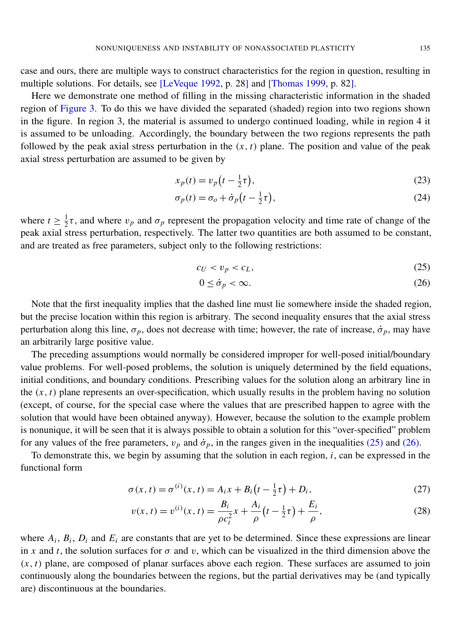case and ours, there are multiple ways to construct characteristics for the region in question, resulting in multiple solutions. For details, see [\[LeVeque 1992,](#page-26-12) p. 28] and [\[Thomas 1999,](#page-26-13) p. 82].

Here we demonstrate one method of filling in the missing characteristic information in the shaded region of [Figure 3.](#page-12-0) To do this we have divided the separated (shaded) region into two regions shown in the figure. In region 3, the material is assumed to undergo continued loading, while in region 4 it is assumed to be unloading. Accordingly, the boundary between the two regions represents the path followed by the peak axial stress perturbation in the  $(x, t)$  plane. The position and value of the peak axial stress perturbation are assumed to be given by

$$
x_p(t) = v_p\left(t - \frac{1}{2}\tau\right),\tag{23}
$$

$$
\sigma_p(t) = \sigma_o + \dot{\sigma}_p \left( t - \frac{1}{2} \tau \right),\tag{24}
$$

where  $t \geq \frac{1}{2}$  $\frac{1}{2}\tau$ , and where  $v_p$  and  $\sigma_p$  represent the propagation velocity and time rate of change of the peak axial stress perturbation, respectively. The latter two quantities are both assumed to be constant, and are treated as free parameters, subject only to the following restrictions:

$$
c_U < v_p < c_L,\tag{25}
$$

<span id="page-13-1"></span><span id="page-13-0"></span>
$$
0 \le \dot{\sigma}_p < \infty. \tag{26}
$$

Note that the first inequality implies that the dashed line must lie somewhere inside the shaded region, but the precise location within this region is arbitrary. The second inequality ensures that the axial stress perturbation along this line,  $\sigma_p$ , does not decrease with time; however, the rate of increase,  $\dot{\sigma}_p$ , may have an arbitrarily large positive value.

The preceding assumptions would normally be considered improper for well-posed initial/boundary value problems. For well-posed problems, the solution is uniquely determined by the field equations, initial conditions, and boundary conditions. Prescribing values for the solution along an arbitrary line in the  $(x, t)$  plane represents an over-specification, which usually results in the problem having no solution (except, of course, for the special case where the values that are prescribed happen to agree with the solution that would have been obtained anyway). However, because the solution to the example problem is nonunique, it will be seen that it is always possible to obtain a solution for this "over-specified" problem for any values of the free parameters,  $v_p$  and  $\dot{\sigma}_p$ , in the ranges given in the inequalities [\(25\)](#page-13-0) and [\(26\).](#page-13-1)

To demonstrate this, we begin by assuming that the solution in each region, *i*, can be expressed in the functional form

$$
\sigma(x, t) = \sigma^{(i)}(x, t) = A_i x + B_i (t - \frac{1}{2}\tau) + D_i,
$$
\n(27)

<span id="page-13-3"></span><span id="page-13-2"></span>
$$
v(x, t) = v^{(i)}(x, t) = \frac{B_i}{\rho c_i^2} x + \frac{A_i}{\rho} \left( t - \frac{1}{2} \tau \right) + \frac{E_i}{\rho},
$$
\n(28)

where  $A_i$ ,  $B_i$ ,  $D_i$  and  $E_i$  are constants that are yet to be determined. Since these expressions are linear in *x* and *t*, the solution surfaces for  $\sigma$  and *v*, which can be visualized in the third dimension above the  $(x, t)$  plane, are composed of planar surfaces above each region. These surfaces are assumed to join continuously along the boundaries between the regions, but the partial derivatives may be (and typically are) discontinuous at the boundaries.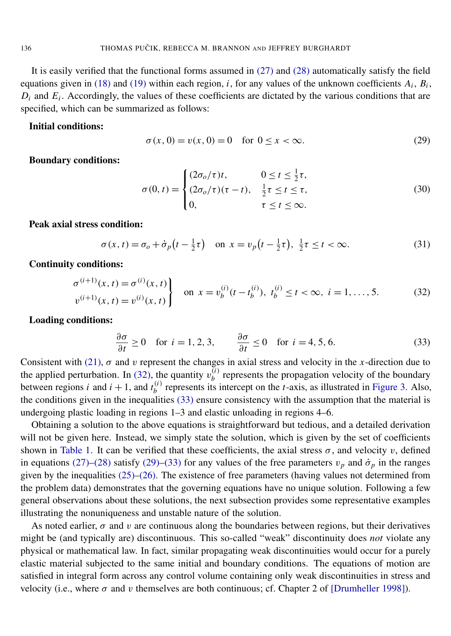It is easily verified that the functional forms assumed in [\(27\)](#page-13-2) and [\(28\)](#page-13-3) automatically satisfy the field equations given in [\(18\)](#page-12-1) and [\(19\)](#page-12-2) within each region, *i*, for any values of the unknown coefficients  $A_i$ ,  $B_i$ ,  $D_i$  and  $E_i$ . Accordingly, the values of these coefficients are dictated by the various conditions that are specified, which can be summarized as follows:

#### <span id="page-14-2"></span>Initial conditions:

$$
\sigma(x, 0) = v(x, 0) = 0 \text{ for } 0 \le x < \infty.
$$
 (29)

Boundary conditions:

$$
\sigma(0, t) = \begin{cases}\n(2\sigma_o/\tau)t, & 0 \le t \le \frac{1}{2}\tau, \\
(2\sigma_o/\tau)(\tau - t), & \frac{1}{2}\tau \le t \le \tau, \\
0, & \tau \le t \le \infty.\n\end{cases}
$$
\n(30)

Peak axial stress condition:

$$
\sigma(x,t) = \sigma_o + \dot{\sigma}_p \left( t - \frac{1}{2} \tau \right) \quad \text{on } x = v_p \left( t - \frac{1}{2} \tau \right), \ \frac{1}{2} \tau \le t < \infty. \tag{31}
$$

<span id="page-14-0"></span>Continuity conditions:

$$
\left\{\n\begin{aligned}\n\sigma^{(i+1)}(x,t) &= \sigma^{(i)}(x,t) \\
v^{(i+1)}(x,t) &= v^{(i)}(x,t)\n\end{aligned}\n\right\}\n\quad \text{on } x = v_b^{(i)}(t - t_b^{(i)}), \ t_b^{(i)} \le t < \infty, \ i = 1, \dots, 5.
$$
\n<sup>(32)</sup>

<span id="page-14-1"></span>Loading conditions:

$$
\frac{\partial \sigma}{\partial t} \ge 0 \quad \text{for } i = 1, 2, 3, \qquad \frac{\partial \sigma}{\partial t} \le 0 \quad \text{for } i = 4, 5, 6. \tag{33}
$$

Consistent with [\(21\),](#page-12-3)  $\sigma$  and v represent the changes in axial stress and velocity in the *x*-direction due to the applied perturbation. In [\(32\),](#page-14-0) the quantity  $v_h^{(i)}$  $b<sub>b</sub>$ <sup>(*i*</sup>) represents the propagation velocity of the boundary between regions *i* and  $i + 1$ , and  $t_h^{(i)}$  $b<sup>(t)</sup>$  represents its intercept on the *t*-axis, as illustrated in [Figure 3.](#page-12-0) Also, the conditions given in the inequalities [\(33\)](#page-14-1) ensure consistency with the assumption that the material is undergoing plastic loading in regions 1–3 and elastic unloading in regions 4–6.

Obtaining a solution to the above equations is straightforward but tedious, and a detailed derivation will not be given here. Instead, we simply state the solution, which is given by the set of coefficients shown in [Table 1.](#page-15-0) It can be verified that these coefficients, the axial stress  $\sigma$ , and velocity v, defined in equations [\(27\)](#page-13-2)[–\(28\)](#page-13-3) satisfy [\(29\)](#page-14-2)[–\(33\)](#page-14-1) for any values of the free parameters  $v_p$  and  $\dot{\sigma}_p$  in the ranges given by the inequalities  $(25)$ – $(26)$ . The existence of free parameters (having values not determined from the problem data) demonstrates that the governing equations have no unique solution. Following a few general observations about these solutions, the next subsection provides some representative examples illustrating the nonuniqueness and unstable nature of the solution.

As noted earlier,  $\sigma$  and v are continuous along the boundaries between regions, but their derivatives might be (and typically are) discontinuous. This so-called "weak" discontinuity does *not* violate any physical or mathematical law. In fact, similar propagating weak discontinuities would occur for a purely elastic material subjected to the same initial and boundary conditions. The equations of motion are satisfied in integral form across any control volume containing only weak discontinuities in stress and velocity (i.e., where  $\sigma$  and v themselves are both continuous; cf. Chapter 2 of [\[Drumheller 1998\]](#page-25-14)).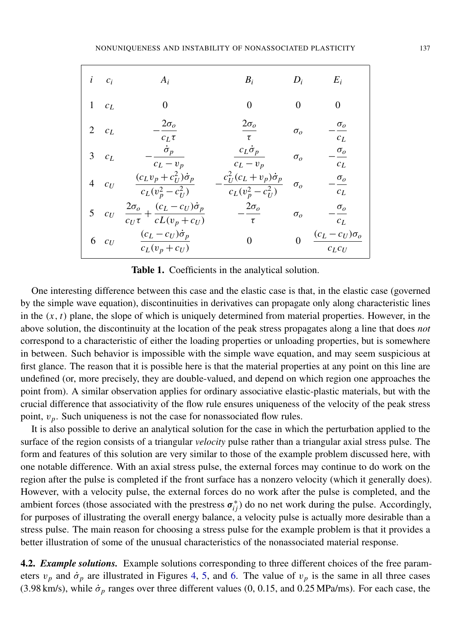<span id="page-15-0"></span>

|   | $i \quad c_i$ | $A_i$                                                                         | $B_i$                                                    | $D_i$                 | $E_i$                              |
|---|---------------|-------------------------------------------------------------------------------|----------------------------------------------------------|-----------------------|------------------------------------|
|   | $1 \quad c_L$ |                                                                               | 0                                                        | 0                     | 0                                  |
|   | 2 $c_L$       | $2\sigma_o$<br>$c_L \tau$                                                     | $2\sigma_o$<br>τ                                         | $\sigma_{o}$          | $\sigma_o$<br>$c_L$                |
|   | $3 \quad c_L$ | $\dot{\sigma}_p$<br>$c_L - v_p$                                               | $c_L \dot{\sigma}_p$<br>$c_L - v_p$                      | $\sigma_{o}$          | $\sigma_o$<br>$c_L$                |
| 4 | $c_U$         | $(c_L v_p + c_U^2) \dot{\sigma}_p$<br>$c_L(v_p^2 - c_U^2)$                    | $c_U^2(c_L + v_p)\dot{\sigma}_p$<br>$c_L(v_p^2 - c_U^2)$ | $\sigma_{o}$          | $\sigma_o$<br>$c_L$                |
|   | 5 $c_U$       | $\frac{2\sigma_o}{c_U\tau} + \frac{(c_L - c_U)\dot{\sigma}_p}{cL(v_p + c_U)}$ | $2\sigma_o$<br>$\tau$                                    | $\sigma$ <sub>o</sub> | $\sigma_o$<br>$c_L$                |
| 6 | $c_U$         | $(c_L - c_U)\dot{\sigma}_p$<br>$c_L(v_p + c_U)$                               | 0                                                        |                       | $(c_L - c_U)\sigma_o$<br>$c_L c_U$ |

Table 1. Coefficients in the analytical solution.

One interesting difference between this case and the elastic case is that, in the elastic case (governed by the simple wave equation), discontinuities in derivatives can propagate only along characteristic lines in the  $(x, t)$  plane, the slope of which is uniquely determined from material properties. However, in the above solution, the discontinuity at the location of the peak stress propagates along a line that does *not* correspond to a characteristic of either the loading properties or unloading properties, but is somewhere in between. Such behavior is impossible with the simple wave equation, and may seem suspicious at first glance. The reason that it is possible here is that the material properties at any point on this line are undefined (or, more precisely, they are double-valued, and depend on which region one approaches the point from). A similar observation applies for ordinary associative elastic-plastic materials, but with the crucial difference that associativity of the flow rule ensures uniqueness of the velocity of the peak stress point,  $v_p$ . Such uniqueness is not the case for nonassociated flow rules.

It is also possible to derive an analytical solution for the case in which the perturbation applied to the surface of the region consists of a triangular *velocity* pulse rather than a triangular axial stress pulse. The form and features of this solution are very similar to those of the example problem discussed here, with one notable difference. With an axial stress pulse, the external forces may continue to do work on the region after the pulse is completed if the front surface has a nonzero velocity (which it generally does). However, with a velocity pulse, the external forces do no work after the pulse is completed, and the ambient forces (those associated with the prestress  $\sigma_{ij}^*$ ) do no net work during the pulse. Accordingly, for purposes of illustrating the overall energy balance, a velocity pulse is actually more desirable than a stress pulse. The main reason for choosing a stress pulse for the example problem is that it provides a better illustration of some of the unusual characteristics of the nonassociated material response.

4.2. *Example solutions.* Example solutions corresponding to three different choices of the free parameters  $v_p$  and  $\dot{\sigma}_p$  are illustrated in Figures [4,](#page-16-0) [5,](#page-16-1) and [6.](#page-17-0) The value of  $v_p$  is the same in all three cases (3.98 km/s), while  $\dot{\sigma}_p$  ranges over three different values (0, 0.15, and 0.25 MPa/ms). For each case, the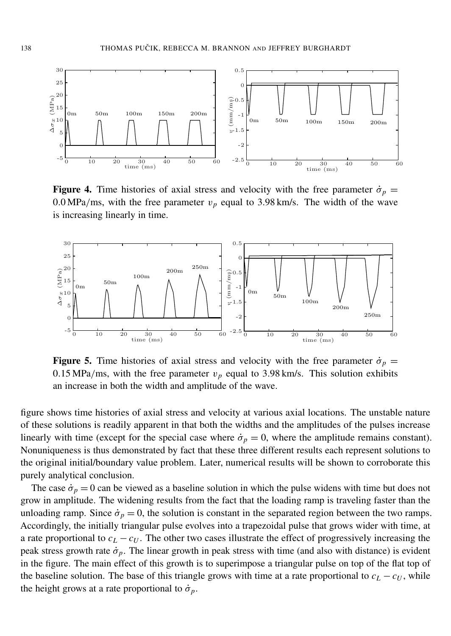<span id="page-16-0"></span>

Figure 4. Time histories of axial stress and velocity with the free parameter  $\dot{\sigma}_p =$ 0.0 MPa/ms, with the free parameter  $v_p$  equal to 3.98 km/s. The width of the wave is increasing linearly in time.

<span id="page-16-1"></span>

Figure 5. Time histories of axial stress and velocity with the free parameter  $\dot{\sigma}_p =$ 0.15 MPa/ms, with the free parameter  $v_p$  equal to 3.98 km/s. This solution exhibits an increase in both the width and amplitude of the wave.

figure shows time histories of axial stress and velocity at various axial locations. The unstable nature of these solutions is readily apparent in that both the widths and the amplitudes of the pulses increase linearly with time (except for the special case where  $\dot{\sigma}_p = 0$ , where the amplitude remains constant). Nonuniqueness is thus demonstrated by fact that these three different results each represent solutions to the original initial/boundary value problem. Later, numerical results will be shown to corroborate this purely analytical conclusion.

The case  $\dot{\sigma}_p = 0$  can be viewed as a baseline solution in which the pulse widens with time but does not grow in amplitude. The widening results from the fact that the loading ramp is traveling faster than the unloading ramp. Since  $\dot{\sigma}_p = 0$ , the solution is constant in the separated region between the two ramps. Accordingly, the initially triangular pulse evolves into a trapezoidal pulse that grows wider with time, at a rate proportional to  $c_L - c_U$ . The other two cases illustrate the effect of progressively increasing the peak stress growth rate  $\dot{\sigma}_p$ . The linear growth in peak stress with time (and also with distance) is evident in the figure. The main effect of this growth is to superimpose a triangular pulse on top of the flat top of the baseline solution. The base of this triangle grows with time at a rate proportional to  $c_L - c_U$ , while the height grows at a rate proportional to  $\dot{\sigma}_p$ .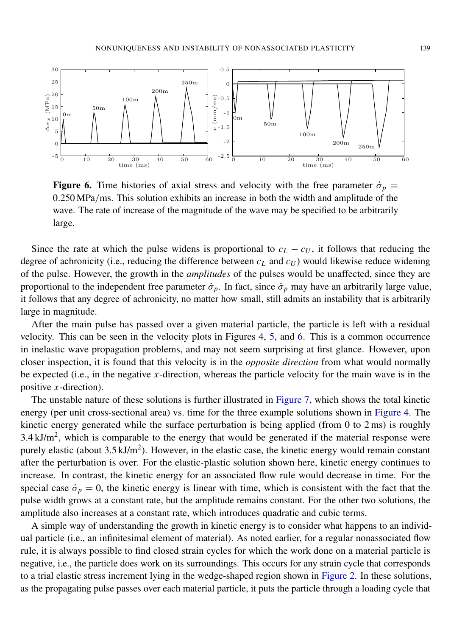<span id="page-17-0"></span>

Figure 6. Time histories of axial stress and velocity with the free parameter  $\dot{\sigma}_p =$ 0.250 MPa/ms. This solution exhibits an increase in both the width and amplitude of the wave. The rate of increase of the magnitude of the wave may be specified to be arbitrarily large.

Since the rate at which the pulse widens is proportional to  $c<sub>L</sub> - c<sub>U</sub>$ , it follows that reducing the degree of achronicity (i.e., reducing the difference between *c<sup>L</sup>* and *c<sup>U</sup>* ) would likewise reduce widening of the pulse. However, the growth in the *amplitudes* of the pulses would be unaffected, since they are proportional to the independent free parameter  $\dot{\sigma}_p$ . In fact, since  $\dot{\sigma}_p$  may have an arbitrarily large value, it follows that any degree of achronicity, no matter how small, still admits an instability that is arbitrarily large in magnitude.

After the main pulse has passed over a given material particle, the particle is left with a residual velocity. This can be seen in the velocity plots in Figures [4,](#page-16-0) [5,](#page-16-1) and [6.](#page-17-0) This is a common occurrence in inelastic wave propagation problems, and may not seem surprising at first glance. However, upon closer inspection, it is found that this velocity is in the *opposite direction* from what would normally be expected (i.e., in the negative *x*-direction, whereas the particle velocity for the main wave is in the positive *x*-direction).

The unstable nature of these solutions is further illustrated in [Figure 7,](#page-19-0) which shows the total kinetic energy (per unit cross-sectional area) vs. time for the three example solutions shown in [Figure 4.](#page-16-0) The kinetic energy generated while the surface perturbation is being applied (from 0 to 2 ms) is roughly 3.4 kJ/ $m^2$ , which is comparable to the energy that would be generated if the material response were purely elastic (about  $3.5 \text{ kJ/m}^2$ ). However, in the elastic case, the kinetic energy would remain constant after the perturbation is over. For the elastic-plastic solution shown here, kinetic energy continues to increase. In contrast, the kinetic energy for an associated flow rule would decrease in time. For the special case  $\dot{\sigma}_p = 0$ , the kinetic energy is linear with time, which is consistent with the fact that the pulse width grows at a constant rate, but the amplitude remains constant. For the other two solutions, the amplitude also increases at a constant rate, which introduces quadratic and cubic terms.

A simple way of understanding the growth in kinetic energy is to consider what happens to an individual particle (i.e., an infinitesimal element of material). As noted earlier, for a regular nonassociated flow rule, it is always possible to find closed strain cycles for which the work done on a material particle is negative, i.e., the particle does work on its surroundings. This occurs for any strain cycle that corresponds to a trial elastic stress increment lying in the wedge-shaped region shown in [Figure 2.](#page-8-0) In these solutions, as the propagating pulse passes over each material particle, it puts the particle through a loading cycle that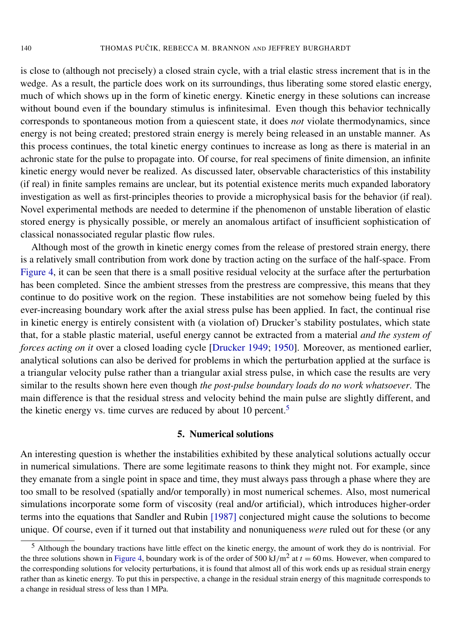is close to (although not precisely) a closed strain cycle, with a trial elastic stress increment that is in the wedge. As a result, the particle does work on its surroundings, thus liberating some stored elastic energy, much of which shows up in the form of kinetic energy. Kinetic energy in these solutions can increase without bound even if the boundary stimulus is infinitesimal. Even though this behavior technically corresponds to spontaneous motion from a quiescent state, it does *not* violate thermodynamics, since energy is not being created; prestored strain energy is merely being released in an unstable manner. As this process continues, the total kinetic energy continues to increase as long as there is material in an achronic state for the pulse to propagate into. Of course, for real specimens of finite dimension, an infinite kinetic energy would never be realized. As discussed later, observable characteristics of this instability (if real) in finite samples remains are unclear, but its potential existence merits much expanded laboratory investigation as well as first-principles theories to provide a microphysical basis for the behavior (if real). Novel experimental methods are needed to determine if the phenomenon of unstable liberation of elastic stored energy is physically possible, or merely an anomalous artifact of insufficient sophistication of classical nonassociated regular plastic flow rules.

Although most of the growth in kinetic energy comes from the release of prestored strain energy, there is a relatively small contribution from work done by traction acting on the surface of the half-space. From [Figure 4,](#page-16-0) it can be seen that there is a small positive residual velocity at the surface after the perturbation has been completed. Since the ambient stresses from the prestress are compressive, this means that they continue to do positive work on the region. These instabilities are not somehow being fueled by this ever-increasing boundary work after the axial stress pulse has been applied. In fact, the continual rise in kinetic energy is entirely consistent with (a violation of) Drucker's stability postulates, which state that, for a stable plastic material, useful energy cannot be extracted from a material *and the system of forces acting on it* over a closed loading cycle [\[Drucker 1949;](#page-25-5) [1950\]](#page-25-6). Moreover, as mentioned earlier, analytical solutions can also be derived for problems in which the perturbation applied at the surface is a triangular velocity pulse rather than a triangular axial stress pulse, in which case the results are very similar to the results shown here even though *the post-pulse boundary loads do no work whatsoever*. The main difference is that the residual stress and velocity behind the main pulse are slightly different, and the kinetic energy vs. time curves are reduced by about 10 percent.<sup>[5](#page-18-1)</sup>

#### 5. Numerical solutions

<span id="page-18-0"></span>An interesting question is whether the instabilities exhibited by these analytical solutions actually occur in numerical simulations. There are some legitimate reasons to think they might not. For example, since they emanate from a single point in space and time, they must always pass through a phase where they are too small to be resolved (spatially and/or temporally) in most numerical schemes. Also, most numerical simulations incorporate some form of viscosity (real and/or artificial), which introduces higher-order terms into the equations that [Sandler and Rubin](#page-26-9) [1987] conjectured might cause the solutions to become unique. Of course, even if it turned out that instability and nonuniqueness *were* ruled out for these (or any

<span id="page-18-1"></span><sup>5</sup> Although the boundary tractions have little effect on the kinetic energy, the amount of work they do is nontrivial. For the three solutions shown in [Figure 4,](#page-16-0) boundary work is of the order of 500 kJ/m<sup>2</sup> at  $t = 60$  ms. However, when compared to the corresponding solutions for velocity perturbations, it is found that almost all of this work ends up as residual strain energy rather than as kinetic energy. To put this in perspective, a change in the residual strain energy of this magnitude corresponds to a change in residual stress of less than 1 MPa.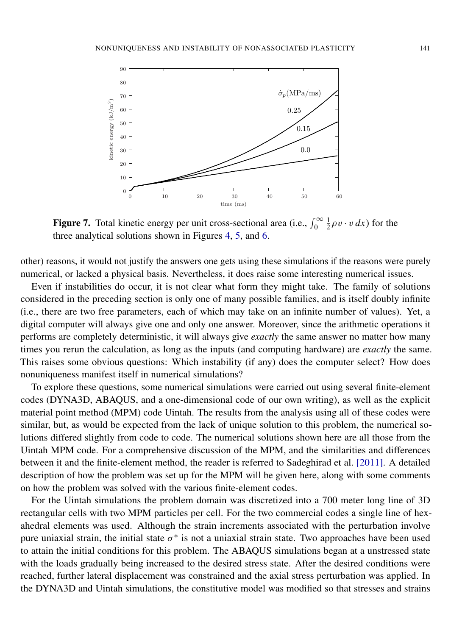<span id="page-19-0"></span>

**Figure 7.** Total kinetic energy per unit cross-sectional area (i.e.,  $\int_0^\infty$ 1  $\frac{1}{2}\rho v \cdot v dx$ ) for the three analytical solutions shown in Figures [4,](#page-16-0) [5,](#page-16-1) and [6.](#page-17-0)

other) reasons, it would not justify the answers one gets using these simulations if the reasons were purely numerical, or lacked a physical basis. Nevertheless, it does raise some interesting numerical issues.

Even if instabilities do occur, it is not clear what form they might take. The family of solutions considered in the preceding section is only one of many possible families, and is itself doubly infinite (i.e., there are two free parameters, each of which may take on an infinite number of values). Yet, a digital computer will always give one and only one answer. Moreover, since the arithmetic operations it performs are completely deterministic, it will always give *exactly* the same answer no matter how many times you rerun the calculation, as long as the inputs (and computing hardware) are *exactly* the same. This raises some obvious questions: Which instability (if any) does the computer select? How does nonuniqueness manifest itself in numerical simulations?

To explore these questions, some numerical simulations were carried out using several finite-element codes (DYNA3D, ABAQUS, and a one-dimensional code of our own writing), as well as the explicit material point method (MPM) code Uintah. The results from the analysis using all of these codes were similar, but, as would be expected from the lack of unique solution to this problem, the numerical solutions differed slightly from code to code. The numerical solutions shown here are all those from the Uintah MPM code. For a comprehensive discussion of the MPM, and the similarities and differences between it and the finite-element method, the reader is referred to [Sadeghirad et al.](#page-26-14) [2011]. A detailed description of how the problem was set up for the MPM will be given here, along with some comments on how the problem was solved with the various finite-element codes.

For the Uintah simulations the problem domain was discretized into a 700 meter long line of 3D rectangular cells with two MPM particles per cell. For the two commercial codes a single line of hexahedral elements was used. Although the strain increments associated with the perturbation involve pure uniaxial strain, the initial state  $\sigma^*$  is not a uniaxial strain state. Two approaches have been used to attain the initial conditions for this problem. The ABAQUS simulations began at a unstressed state with the loads gradually being increased to the desired stress state. After the desired conditions were reached, further lateral displacement was constrained and the axial stress perturbation was applied. In the DYNA3D and Uintah simulations, the constitutive model was modified so that stresses and strains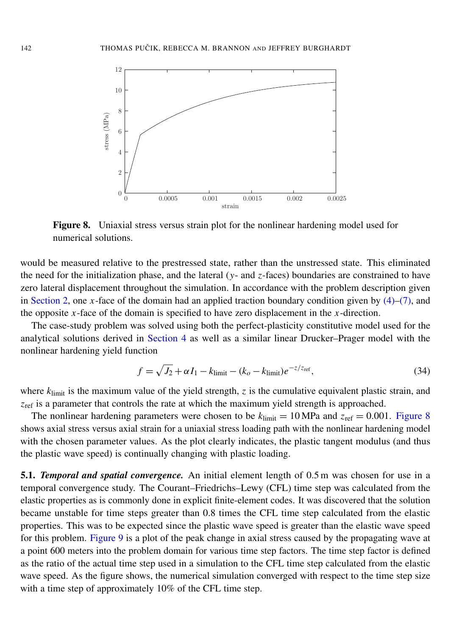<span id="page-20-0"></span>

Figure 8. Uniaxial stress versus strain plot for the nonlinear hardening model used for numerical solutions.

would be measured relative to the prestressed state, rather than the unstressed state. This eliminated the need for the initialization phase, and the lateral (*y*- and *z*-faces) boundaries are constrained to have zero lateral displacement throughout the simulation. In accordance with the problem description given in [Section 2,](#page-5-1) one *x*-face of the domain had an applied traction boundary condition given by  $(4)$ – $(7)$ , and the opposite  $x$ -face of the domain is specified to have zero displacement in the  $x$ -direction.

The case-study problem was solved using both the perfect-plasticity constitutive model used for the analytical solutions derived in [Section 4](#page-11-0) as well as a similar linear Drucker–Prager model with the nonlinear hardening yield function

<span id="page-20-1"></span>
$$
f = \sqrt{J_2} + \alpha I_1 - k_{\text{limit}} - (k_o - k_{\text{limit}})e^{-z/z_{\text{ref}}},\tag{34}
$$

where  $k_{\text{limit}}$  is the maximum value of the yield strength, *z* is the cumulative equivalent plastic strain, and *z*<sub>ref</sub> is a parameter that controls the rate at which the maximum yield strength is approached.

The nonlinear hardening parameters were chosen to be  $k_{\text{limit}} = 10 \text{ MPa}$  and  $z_{\text{ref}} = 0.001$ . [Figure 8](#page-20-0) shows axial stress versus axial strain for a uniaxial stress loading path with the nonlinear hardening model with the chosen parameter values. As the plot clearly indicates, the plastic tangent modulus (and thus the plastic wave speed) is continually changing with plastic loading.

5.1. *Temporal and spatial convergence.* An initial element length of 0.5 m was chosen for use in a temporal convergence study. The Courant–Friedrichs–Lewy (CFL) time step was calculated from the elastic properties as is commonly done in explicit finite-element codes. It was discovered that the solution became unstable for time steps greater than 0.8 times the CFL time step calculated from the elastic properties. This was to be expected since the plastic wave speed is greater than the elastic wave speed for this problem. [Figure 9](#page-21-0) is a plot of the peak change in axial stress caused by the propagating wave at a point 600 meters into the problem domain for various time step factors. The time step factor is defined as the ratio of the actual time step used in a simulation to the CFL time step calculated from the elastic wave speed. As the figure shows, the numerical simulation converged with respect to the time step size with a time step of approximately 10% of the CFL time step.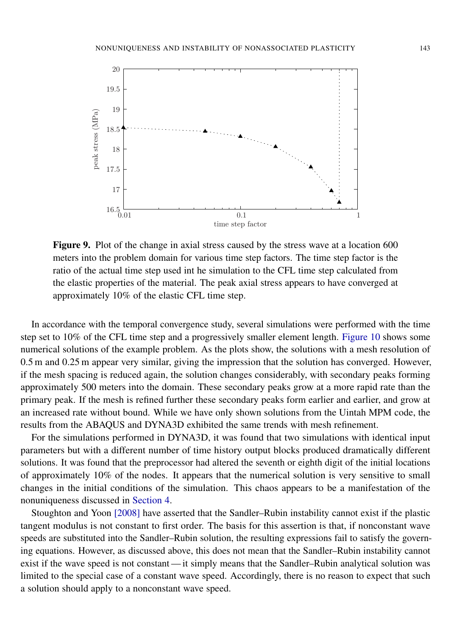<span id="page-21-0"></span>

Figure 9. Plot of the change in axial stress caused by the stress wave at a location 600 meters into the problem domain for various time step factors. The time step factor is the ratio of the actual time step used int he simulation to the CFL time step calculated from the elastic properties of the material. The peak axial stress appears to have converged at approximately 10% of the elastic CFL time step.

In accordance with the temporal convergence study, several simulations were performed with the time step set to 10% of the CFL time step and a progressively smaller element length. [Figure 10](#page-22-0) shows some numerical solutions of the example problem. As the plots show, the solutions with a mesh resolution of 0.5 m and 0.25 m appear very similar, giving the impression that the solution has converged. However, if the mesh spacing is reduced again, the solution changes considerably, with secondary peaks forming approximately 500 meters into the domain. These secondary peaks grow at a more rapid rate than the primary peak. If the mesh is refined further these secondary peaks form earlier and earlier, and grow at an increased rate without bound. While we have only shown solutions from the Uintah MPM code, the results from the ABAQUS and DYNA3D exhibited the same trends with mesh refinement.

For the simulations performed in DYNA3D, it was found that two simulations with identical input parameters but with a different number of time history output blocks produced dramatically different solutions. It was found that the preprocessor had altered the seventh or eighth digit of the initial locations of approximately 10% of the nodes. It appears that the numerical solution is very sensitive to small changes in the initial conditions of the simulation. This chaos appears to be a manifestation of the nonuniqueness discussed in [Section 4.](#page-11-0)

[Stoughton and Yoon](#page-26-11) [2008] have asserted that the Sandler–Rubin instability cannot exist if the plastic tangent modulus is not constant to first order. The basis for this assertion is that, if nonconstant wave speeds are substituted into the Sandler–Rubin solution, the resulting expressions fail to satisfy the governing equations. However, as discussed above, this does not mean that the Sandler–Rubin instability cannot exist if the wave speed is not constant — it simply means that the Sandler–Rubin analytical solution was limited to the special case of a constant wave speed. Accordingly, there is no reason to expect that such a solution should apply to a nonconstant wave speed.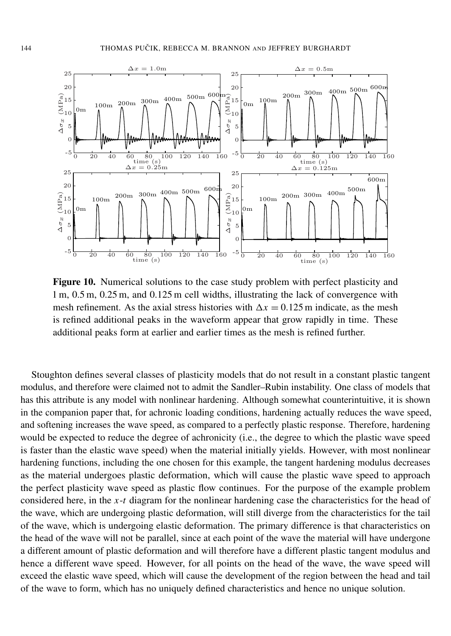<span id="page-22-0"></span>

Figure 10. Numerical solutions to the case study problem with perfect plasticity and 1 m, 0.5 m, 0.25 m, and 0.125 m cell widths, illustrating the lack of convergence with mesh refinement. As the axial stress histories with  $\Delta x = 0.125$  m indicate, as the mesh is refined additional peaks in the waveform appear that grow rapidly in time. These additional peaks form at earlier and earlier times as the mesh is refined further.

Stoughton defines several classes of plasticity models that do not result in a constant plastic tangent modulus, and therefore were claimed not to admit the Sandler–Rubin instability. One class of models that has this attribute is any model with nonlinear hardening. Although somewhat counterintuitive, it is shown in the companion paper that, for achronic loading conditions, hardening actually reduces the wave speed, and softening increases the wave speed, as compared to a perfectly plastic response. Therefore, hardening would be expected to reduce the degree of achronicity (i.e., the degree to which the plastic wave speed is faster than the elastic wave speed) when the material initially yields. However, with most nonlinear hardening functions, including the one chosen for this example, the tangent hardening modulus decreases as the material undergoes plastic deformation, which will cause the plastic wave speed to approach the perfect plasticity wave speed as plastic flow continues. For the purpose of the example problem considered here, in the *x*-*t* diagram for the nonlinear hardening case the characteristics for the head of the wave, which are undergoing plastic deformation, will still diverge from the characteristics for the tail of the wave, which is undergoing elastic deformation. The primary difference is that characteristics on the head of the wave will not be parallel, since at each point of the wave the material will have undergone a different amount of plastic deformation and will therefore have a different plastic tangent modulus and hence a different wave speed. However, for all points on the head of the wave, the wave speed will exceed the elastic wave speed, which will cause the development of the region between the head and tail of the wave to form, which has no uniquely defined characteristics and hence no unique solution.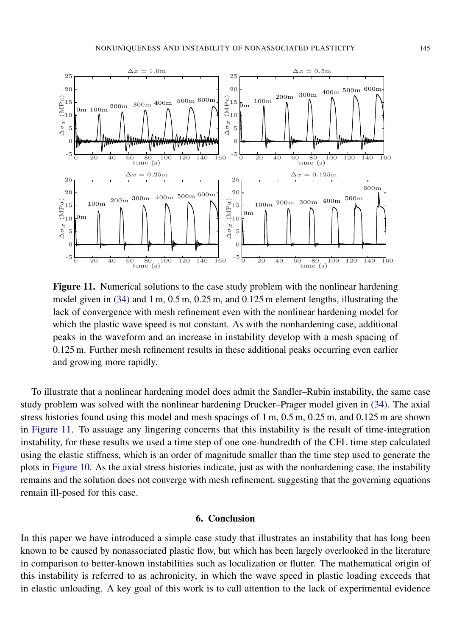<span id="page-23-0"></span>

Figure 11. Numerical solutions to the case study problem with the nonlinear hardening model given in [\(34\)](#page-20-1) and 1 m, 0.5 m, 0.25 m, and 0.125 m element lengths, illustrating the lack of convergence with mesh refinement even with the nonlinear hardening model for which the plastic wave speed is not constant. As with the nonhardening case, additional peaks in the waveform and an increase in instability develop with a mesh spacing of 0.125 m. Further mesh refinement results in these additional peaks occurring even earlier and growing more rapidly.

To illustrate that a nonlinear hardening model does admit the Sandler–Rubin instability, the same case study problem was solved with the nonlinear hardening Drucker–Prager model given in [\(34\).](#page-20-1) The axial stress histories found using this model and mesh spacings of 1 m, 0.5 m, 0.25 m, and 0.125 m are shown in [Figure 11.](#page-23-0) To assuage any lingering concerns that this instability is the result of time-integration instability, for these results we used a time step of one one-hundredth of the CFL time step calculated using the elastic stiffness, which is an order of magnitude smaller than the time step used to generate the plots in [Figure 10.](#page-22-0) As the axial stress histories indicate, just as with the nonhardening case, the instability remains and the solution does not converge with mesh refinement, suggesting that the governing equations remain ill-posed for this case.

#### 6. Conclusion

In this paper we have introduced a simple case study that illustrates an instability that has long been known to be caused by nonassociated plastic flow, but which has been largely overlooked in the literature in comparison to better-known instabilities such as localization or flutter. The mathematical origin of this instability is referred to as achronicity, in which the wave speed in plastic loading exceeds that in elastic unloading. A key goal of this work is to call attention to the lack of experimental evidence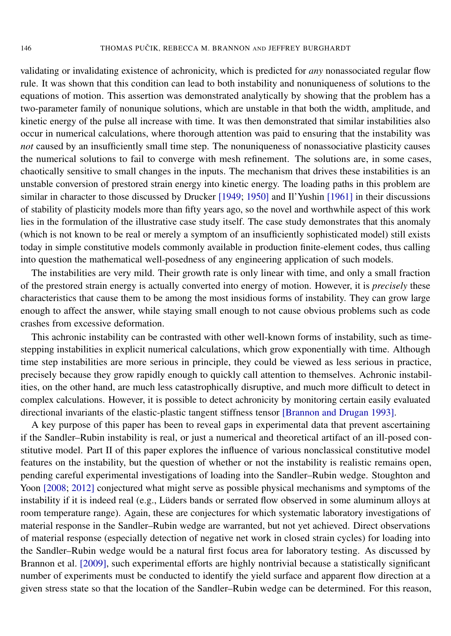validating or invalidating existence of achronicity, which is predicted for *any* nonassociated regular flow rule. It was shown that this condition can lead to both instability and nonuniqueness of solutions to the equations of motion. This assertion was demonstrated analytically by showing that the problem has a two-parameter family of nonunique solutions, which are unstable in that both the width, amplitude, and kinetic energy of the pulse all increase with time. It was then demonstrated that similar instabilities also occur in numerical calculations, where thorough attention was paid to ensuring that the instability was *not* caused by an insufficiently small time step. The nonuniqueness of nonassociative plasticity causes the numerical solutions to fail to converge with mesh refinement. The solutions are, in some cases, chaotically sensitive to small changes in the inputs. The mechanism that drives these instabilities is an unstable conversion of prestored strain energy into kinetic energy. The loading paths in this problem are similar in character to those discussed by Drucker [\[1949;](#page-25-5) [1950\]](#page-25-6) and [Il'Yushin](#page-25-7) [1961] in their discussions of stability of plasticity models more than fifty years ago, so the novel and worthwhile aspect of this work lies in the formulation of the illustrative case study itself. The case study demonstrates that this anomaly (which is not known to be real or merely a symptom of an insufficiently sophisticated model) still exists today in simple constitutive models commonly available in production finite-element codes, thus calling into question the mathematical well-posedness of any engineering application of such models.

The instabilities are very mild. Their growth rate is only linear with time, and only a small fraction of the prestored strain energy is actually converted into energy of motion. However, it is *precisely* these characteristics that cause them to be among the most insidious forms of instability. They can grow large enough to affect the answer, while staying small enough to not cause obvious problems such as code crashes from excessive deformation.

This achronic instability can be contrasted with other well-known forms of instability, such as timestepping instabilities in explicit numerical calculations, which grow exponentially with time. Although time step instabilities are more serious in principle, they could be viewed as less serious in practice, precisely because they grow rapidly enough to quickly call attention to themselves. Achronic instabilities, on the other hand, are much less catastrophically disruptive, and much more difficult to detect in complex calculations. However, it is possible to detect achronicity by monitoring certain easily evaluated directional invariants of the elastic-plastic tangent stiffness tensor [\[Brannon and Drugan 1993\]](#page-25-10).

A key purpose of this paper has been to reveal gaps in experimental data that prevent ascertaining if the Sandler–Rubin instability is real, or just a numerical and theoretical artifact of an ill-posed constitutive model. Part II of this paper explores the influence of various nonclassical constitutive model features on the instability, but the question of whether or not the instability is realistic remains open, pending careful experimental investigations of loading into the Sandler–Rubin wedge. Stoughton and Yoon [\[2008;](#page-26-11) [2012\]](#page-26-15) conjectured what might serve as possible physical mechanisms and symptoms of the instability if it is indeed real (e.g., Lüders bands or serrated flow observed in some aluminum alloys at room temperature range). Again, these are conjectures for which systematic laboratory investigations of material response in the Sandler–Rubin wedge are warranted, but not yet achieved. Direct observations of material response (especially detection of negative net work in closed strain cycles) for loading into the Sandler–Rubin wedge would be a natural first focus area for laboratory testing. As discussed by [Brannon et al.](#page-25-11) [2009], such experimental efforts are highly nontrivial because a statistically significant number of experiments must be conducted to identify the yield surface and apparent flow direction at a given stress state so that the location of the Sandler–Rubin wedge can be determined. For this reason,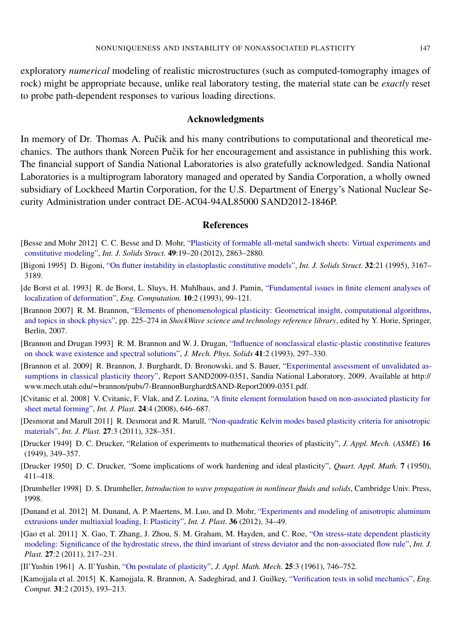exploratory *numerical* modeling of realistic microstructures (such as computed-tomography images of rock) might be appropriate because, unlike real laboratory testing, the material state can be *exactly* reset to probe path-dependent responses to various loading directions.

#### Acknowledgments

In memory of Dr. Thomas A. Pučik and his many contributions to computational and theoretical mechanics. The authors thank Noreen Pučik for her encouragement and assistance in publishing this work. The financial support of Sandia National Laboratories is also gratefully acknowledged. Sandia National Laboratories is a multiprogram laboratory managed and operated by Sandia Corporation, a wholly owned subsidiary of Lockheed Martin Corporation, for the U.S. Department of Energy's National Nuclear Security Administration under contract DE-AC04-94AL85000 SAND2012-1846P.

#### **References**

- <span id="page-25-4"></span>[Besse and Mohr 2012] C. C. Besse and D. Mohr, ["Plasticity of formable all-metal sandwich sheets: Virtual experiments and](http://dx.doi.org/10.1016/j.ijsolstr.2012.04.032) [constitutive modeling",](http://dx.doi.org/10.1016/j.ijsolstr.2012.04.032) *Int. J. Solids Struct.* 49:19–20 (2012), 2863–2880.
- <span id="page-25-9"></span>[Bigoni 1995] D. Bigoni, ["On flutter instability in elastoplastic constitutive models",](http://dx.doi.org/10.1016/0020-7683(94)00262-U) *Int. J. Solids Struct.* 32:21 (1995), 3167– 3189.
- <span id="page-25-12"></span>[de Borst et al. 1993] R. de Borst, L. Sluys, H. Muhlhaus, and J. Pamin, ["Fundamental issues in finite element analyses of](http://dx.doi.org/10.1108/eb023897) [localization of deformation",](http://dx.doi.org/10.1108/eb023897) *Eng. Computation.* 10:2 (1993), 99–121.
- <span id="page-25-8"></span>[Brannon 2007] R. M. Brannon, ["Elements of phenomenological plasticity: Geometrical insight, computational algorithms,](http://dx.doi.org/10.1007/978-3-540-68408-4_6) [and topics in shock physics",](http://dx.doi.org/10.1007/978-3-540-68408-4_6) pp. 225–274 in *ShockWave science and technology reference library*, edited by Y. Horie, Springer, Berlin, 2007.
- <span id="page-25-10"></span>[Brannon and Drugan 1993] R. M. Brannon and W. J. Drugan, ["Influence of nonclassical elastic-plastic constitutive features](http://dx.doi.org/10.1016/0022-5096(93)90010-D) [on shock wave existence and spectral solutions",](http://dx.doi.org/10.1016/0022-5096(93)90010-D) *J. Mech. Phys. Solids* 41:2 (1993), 297–330.
- <span id="page-25-11"></span>[Brannon et al. 2009] R. Brannon, J. Burghardt, D. Bronowski, and S. Bauer, ["Experimental assessment of unvalidated as](http://www.mech.utah.edu/~brannon/pubs/7-BrannonBurghardtSAND-Report2009-0351.pdf)[sumptions in classical plasticity theory",](http://www.mech.utah.edu/~brannon/pubs/7-BrannonBurghardtSAND-Report2009-0351.pdf) Report SAND2009-0351, Sandia National Laboratory, 2009, Available at http:// www.mech.utah.edu/~brannon/pubs/7-BrannonBurghardtSAND-Report2009-0351.pdf.
- <span id="page-25-0"></span>[Cvitanic et al. 2008] V. Cvitanic, F. Vlak, and Z. Lozina, ["A finite element formulation based on non-associated plasticity for](http://dx.doi.org/10.1016/j.ijplas.2007.07.003) [sheet metal forming",](http://dx.doi.org/10.1016/j.ijplas.2007.07.003) *Int. J. Plast.* 24:4 (2008), 646–687.
- <span id="page-25-2"></span>[Desmorat and Marull 2011] R. Desmorat and R. Marull, ["Non-quadratic Kelvin modes based plasticity criteria for anisotropic](http://dx.doi.org/10.1016/j.ijplas.2010.06.003) [materials",](http://dx.doi.org/10.1016/j.ijplas.2010.06.003) *Int. J. Plast.* 27:3 (2011), 328–351.
- <span id="page-25-5"></span>[Drucker 1949] D. C. Drucker, "Relation of experiments to mathematical theories of plasticity", *J. Appl. Mech.* (*ASME*) 16 (1949), 349–357.
- <span id="page-25-6"></span>[Drucker 1950] D. C. Drucker, "Some implications of work hardening and ideal plasticity", *Quart. Appl. Math.* 7 (1950), 411–418.
- <span id="page-25-14"></span>[Drumheller 1998] D. S. Drumheller, *Introduction to wave propagation in nonlinear fluids and solids*, Cambridge Univ. Press, 1998.
- <span id="page-25-3"></span>[Dunand et al. 2012] M. Dunand, A. P. Maertens, M. Luo, and D. Mohr, ["Experiments and modeling of anisotropic aluminum](http://dx.doi.org/10.1016/j.ijplas.2012.03.003) [extrusions under multiaxial loading, I: Plasticity",](http://dx.doi.org/10.1016/j.ijplas.2012.03.003) *Int. J. Plast.* 36 (2012), 34–49.
- <span id="page-25-1"></span>[Gao et al. 2011] X. Gao, T. Zhang, J. Zhou, S. M. Graham, M. Hayden, and C. Roe, ["On stress-state dependent plasticity](http://dx.doi.org/10.1016/j.ijplas.2010.05.004) [modeling: Significance of the hydrostatic stress, the third invariant of stress deviator and the non-associated flow rule",](http://dx.doi.org/10.1016/j.ijplas.2010.05.004) *Int. J. Plast.* 27:2 (2011), 217–231.
- <span id="page-25-7"></span>[Il'Yushin 1961] A. Il'Yushin, ["On postulate of plasticity",](http://dx.doi.org/10.1016/0021-8928(61)90044-2) *J. Appl. Math. Mech.* 25:3 (1961), 746–752.
- <span id="page-25-13"></span>[Kamojjala et al. 2015] K. Kamojjala, R. Brannon, A. Sadeghirad, and J. Guilkey, ["Verification tests in solid mechanics",](http://dx.doi.org/10.1007/s00366-013-0342-x) *Eng. Comput.* 31:2 (2015), 193–213.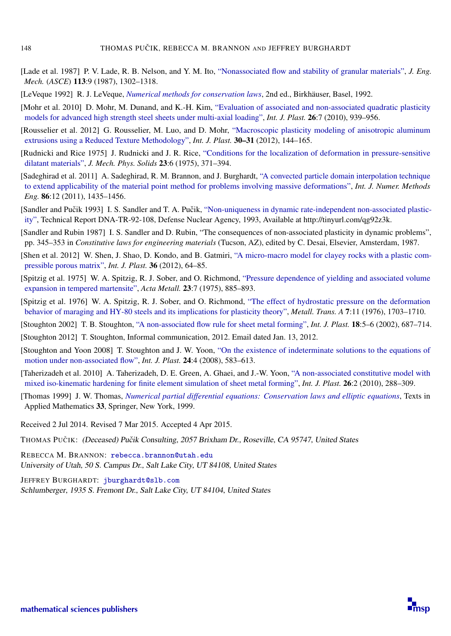- <span id="page-26-2"></span>[Lade et al. 1987] P. V. Lade, R. B. Nelson, and Y. M. Ito, ["Nonassociated flow and stability of granular materials",](http://dx.doi.org/10.1061/(ASCE)0733-9399(1987)113:9(1302)) *J. Eng. Mech.* (*ASCE*) 113:9 (1987), 1302–1318.
- <span id="page-26-12"></span>[LeVeque 1992] R. J. LeVeque, *[Numerical methods for conservation laws](http://dx.doi.org/10.1007/978-3-0348-8629-1)*, 2nd ed., Birkhäuser, Basel, 1992.
- <span id="page-26-5"></span>[Mohr et al. 2010] D. Mohr, M. Dunand, and K.-H. Kim, ["Evaluation of associated and non-associated quadratic plasticity](http://dx.doi.org/10.1016/j.ijplas.2009.11.006) [models for advanced high strength steel sheets under multi-axial loading",](http://dx.doi.org/10.1016/j.ijplas.2009.11.006) *Int. J. Plast.* 26:7 (2010), 939–956.
- <span id="page-26-7"></span>[Rousselier et al. 2012] G. Rousselier, M. Luo, and D. Mohr, ["Macroscopic plasticity modeling of anisotropic aluminum](http://dx.doi.org/10.1016/j.ijplas.2011.10.004) [extrusions using a Reduced Texture Methodology",](http://dx.doi.org/10.1016/j.ijplas.2011.10.004) *Int. J. Plast.* 30–31 (2012), 144–165.
- <span id="page-26-8"></span>[Rudnicki and Rice 1975] J. Rudnicki and J. R. Rice, ["Conditions for the localization of deformation in pressure-sensitive](http://dx.doi.org/10.1016/0022-5096(75)90001-0) [dilatant materials",](http://dx.doi.org/10.1016/0022-5096(75)90001-0) *J. Mech. Phys. Solids* 23:6 (1975), 371–394.
- <span id="page-26-14"></span>[Sadeghirad et al. 2011] A. Sadeghirad, R. M. Brannon, and J. Burghardt, ["A convected particle domain interpolation technique](http://dx.doi.org/10.1002/nme.3110) [to extend applicability of the material point method for problems involving massive deformations",](http://dx.doi.org/10.1002/nme.3110) *Int. J. Numer. Methods Eng.* 86:12 (2011), 1435–1456.
- <span id="page-26-10"></span>[Sandler and Pučik 1993] I. S. Sandler and T. A. Pučik, ["Non-uniqueness in dynamic rate-independent non-associated plastic](http://tinyurl.com/qg92z3k)[ity",](http://tinyurl.com/qg92z3k) Technical Report DNA-TR-92-108, Defense Nuclear Agency, 1993, Available at http://tinyurl.com/qg92z3k.
- <span id="page-26-9"></span>[Sandler and Rubin 1987] I. S. Sandler and D. Rubin, "The consequences of non-associated plasticity in dynamic problems", pp. 345–353 in *Constitutive laws for engineering materials* (Tucson, AZ), edited by C. Desai, Elsevier, Amsterdam, 1987.
- <span id="page-26-3"></span>[Shen et al. 2012] W. Shen, J. Shao, D. Kondo, and B. Gatmiri, ["A micro-macro model for clayey rocks with a plastic com](http://dx.doi.org/10.1016/j.ijplas.2012.03.006)[pressible porous matrix",](http://dx.doi.org/10.1016/j.ijplas.2012.03.006) *Int. J. Plast.* 36 (2012), 64–85.
- <span id="page-26-0"></span>[Spitzig et al. 1975] W. A. Spitzig, R. J. Sober, and O. Richmond, ["Pressure dependence of yielding and associated volume](http://dx.doi.org/10.1016/0001-6160(75)90205-9) [expansion in tempered martensite",](http://dx.doi.org/10.1016/0001-6160(75)90205-9) *Acta Metall.* 23:7 (1975), 885–893.
- <span id="page-26-1"></span>[Spitzig et al. 1976] W. A. Spitzig, R. J. Sober, and O. Richmond, ["The effect of hydrostatic pressure on the deformation](http://dx.doi.org/10.1007/BF02817888) [behavior of maraging and HY-80 steels and its implications for plasticity theory",](http://dx.doi.org/10.1007/BF02817888) *Metall. Trans. A* 7:11 (1976), 1703–1710.
- <span id="page-26-4"></span>[Stoughton 2002] T. B. Stoughton, ["A non-associated flow rule for sheet metal forming",](http://dx.doi.org/10.1016/S0749-6419(01)00053-5) *Int. J. Plast.* 18:5–6 (2002), 687–714.
- <span id="page-26-15"></span>[Stoughton 2012] T. Stoughton, Informal communication, 2012. Email dated Jan. 13, 2012.
- <span id="page-26-11"></span>[Stoughton and Yoon 2008] T. Stoughton and J. W. Yoon, ["On the existence of indeterminate solutions to the equations of](http://dx.doi.org/10.1016/j.ijplas.2007.07.002) [motion under non-associated flow",](http://dx.doi.org/10.1016/j.ijplas.2007.07.002) *Int. J. Plast.* 24:4 (2008), 583–613.
- <span id="page-26-6"></span>[Taherizadeh et al. 2010] A. Taherizadeh, D. E. Green, A. Ghaei, and J.-W. Yoon, ["A non-associated constitutive model with](http://dx.doi.org/10.1016/j.ijplas.2009.07.003) [mixed iso-kinematic hardening for finite element simulation of sheet metal forming",](http://dx.doi.org/10.1016/j.ijplas.2009.07.003) *Int. J. Plast.* 26:2 (2010), 288–309.
- <span id="page-26-13"></span>[Thomas 1999] J. W. Thomas, *[Numerical partial differential equations: Conservation laws and elliptic equations](http://dx.doi.org/10.1007/978-1-4612-0569-2)*, Texts in Applied Mathematics 33, Springer, New York, 1999.
- Received 2 Jul 2014. Revised 7 Mar 2015. Accepted 4 Apr 2015.
- THOMAS PUČIK: (Deceased) Pučik Consulting, 2057 Brixham Dr., Roseville, CA 95747, United States

REBECCA M. BRANNON: [rebecca.brannon@utah.edu](mailto:rebecca.brannon@utah.edu) University of Utah, 50 S. Campus Dr., Salt Lake City, UT 84108, United States

JEFFREY BURGHARDT: [jburghardt@slb.com](mailto:jburghardt@slb.com) Schlumberger, 1935 S. Fremont Dr., Salt Lake City, UT 84104, United States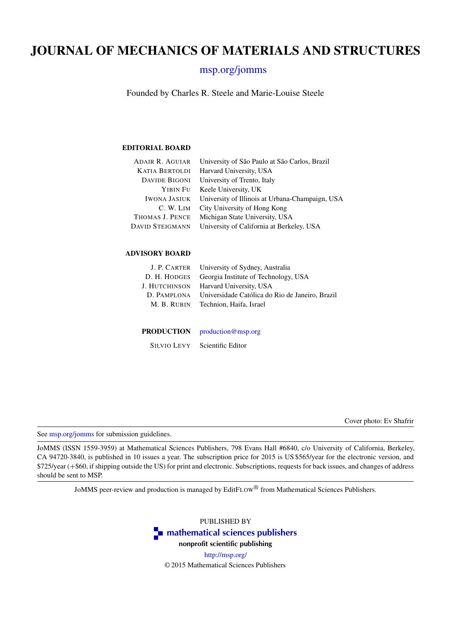## JOURNAL OF MECHANICS OF MATERIALS AND STRUCTURES

#### [msp.org/jomms](http://msp.org/jomms/)

Founded by Charles R. Steele and Marie-Louise Steele

#### EDITORIAL BOARD

| <b>ADAIR R. AGUIAR</b> | University of São Paulo at São Carlos, Brazil   |
|------------------------|-------------------------------------------------|
| <b>KATIA BERTOLDI</b>  | Harvard University, USA                         |
| <b>DAVIDE BIGONI</b>   | University of Trento, Italy                     |
|                        | YIBIN FU Keele University, UK                   |
| <b>IWONA JASIUK</b>    | University of Illinois at Urbana-Champaign, USA |
| C. W. LIM              | City University of Hong Kong                    |
| THOMAS J. PENCE        | Michigan State University, USA                  |
| <b>DAVID STEIGMANN</b> | University of California at Berkeley, USA       |
|                        |                                                 |

#### ADVISORY BOARD

|               | J. P. CARTER University of Sydney, Australia    |
|---------------|-------------------------------------------------|
| D. H. HODGES  | Georgia Institute of Technology, USA            |
| J. Hutchinson | Harvard University, USA                         |
| D. PAMPLONA   | Universidade Católica do Rio de Janeiro. Brazil |
| M. B. RUBIN   | Technion, Haifa, Israel                         |
|               |                                                 |

PRODUCTION [production@msp.org](mailto:production@msp.org)

SILVIO LEVY Scientific Editor

Cover photo: Ev Shafrir

See [msp.org/jomms](http://msp.org/jomms/) for submission guidelines.

JoMMS (ISSN 1559-3959) at Mathematical Sciences Publishers, 798 Evans Hall #6840, c/o University of California, Berkeley, CA 94720-3840, is published in 10 issues a year. The subscription price for 2015 is US \$565/year for the electronic version, and \$725/year (+\$60, if shipping outside the US) for print and electronic. Subscriptions, requests for back issues, and changes of address should be sent to MSP.

JoMMS peer-review and production is managed by EditFLOW® from Mathematical Sciences Publishers.

PUBLISHED BY



<http://msp.org/> © 2015 Mathematical Sciences Publishers